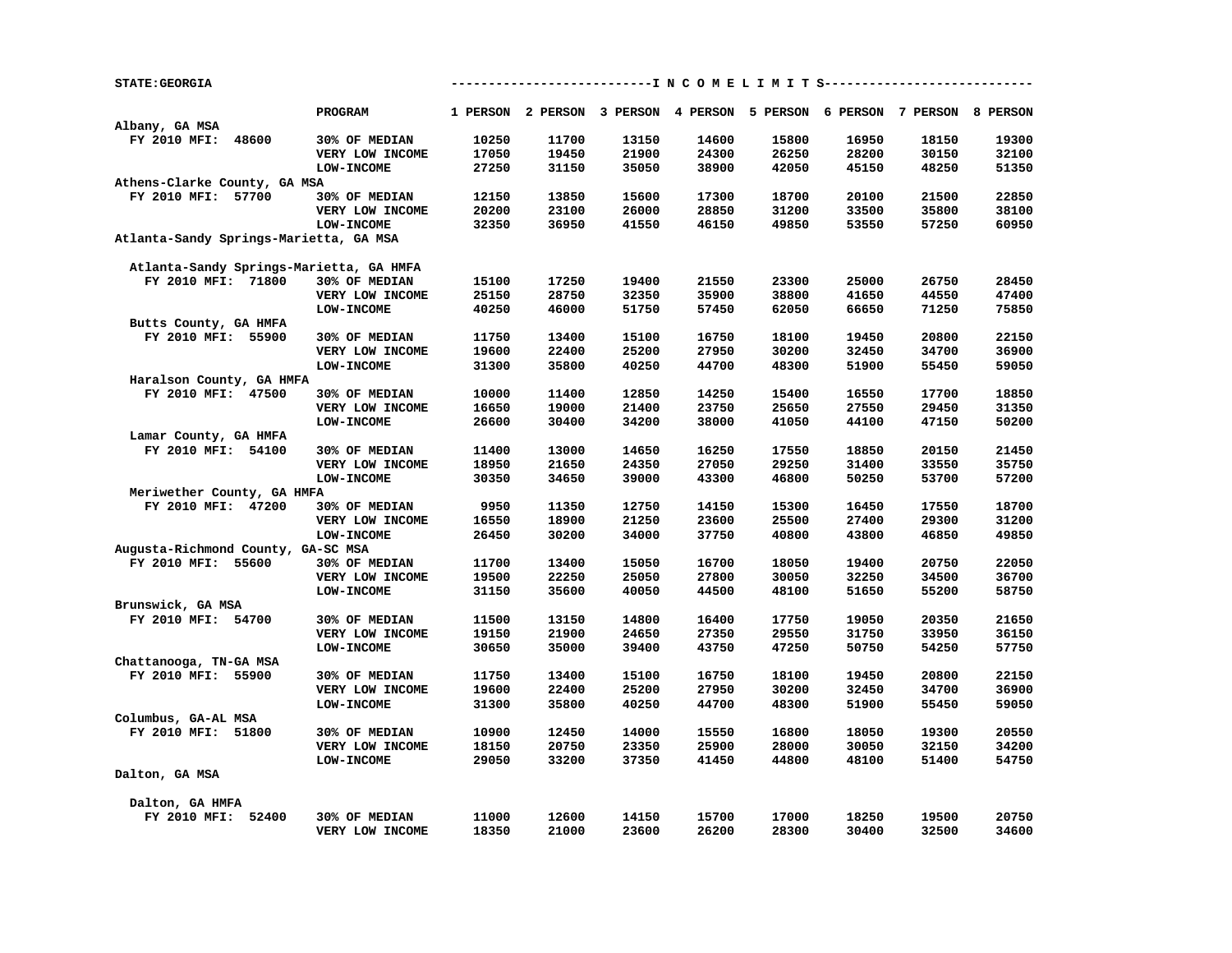| <b>STATE: GEORGIA</b>                   |                   |       |       |       |       |       |       | -------------------I N C O M E L I M I T S----------------------        |       |
|-----------------------------------------|-------------------|-------|-------|-------|-------|-------|-------|-------------------------------------------------------------------------|-------|
|                                         | <b>PROGRAM</b>    |       |       |       |       |       |       | 1 PERSON 2 PERSON 3 PERSON 4 PERSON 5 PERSON 6 PERSON 7 PERSON 8 PERSON |       |
| Albany, GA MSA                          |                   |       |       |       |       |       |       |                                                                         |       |
| FY 2010 MFI: 48600                      | 30% OF MEDIAN     | 10250 | 11700 | 13150 | 14600 | 15800 | 16950 | 18150                                                                   | 19300 |
|                                         | VERY LOW INCOME   | 17050 | 19450 | 21900 | 24300 | 26250 | 28200 | 30150                                                                   | 32100 |
|                                         | LOW-INCOME        | 27250 | 31150 | 35050 | 38900 | 42050 | 45150 | 48250                                                                   | 51350 |
| Athens-Clarke County, GA MSA            |                   |       |       |       |       |       |       |                                                                         |       |
| FY 2010 MFI: 57700                      | 30% OF MEDIAN     | 12150 | 13850 | 15600 | 17300 | 18700 | 20100 | 21500                                                                   | 22850 |
|                                         | VERY LOW INCOME   | 20200 | 23100 | 26000 | 28850 | 31200 | 33500 | 35800                                                                   | 38100 |
|                                         | <b>LOW-INCOME</b> | 32350 | 36950 | 41550 | 46150 | 49850 | 53550 | 57250                                                                   | 60950 |
| Atlanta-Sandy Springs-Marietta, GA MSA  |                   |       |       |       |       |       |       |                                                                         |       |
| Atlanta-Sandy Springs-Marietta, GA HMFA |                   |       |       |       |       |       |       |                                                                         |       |
| FY 2010 MFI: 71800                      | 30% OF MEDIAN     | 15100 | 17250 | 19400 | 21550 | 23300 | 25000 | 26750                                                                   | 28450 |
|                                         | VERY LOW INCOME   | 25150 | 28750 | 32350 | 35900 | 38800 | 41650 | 44550                                                                   | 47400 |
|                                         | LOW-INCOME        | 40250 | 46000 | 51750 | 57450 | 62050 | 66650 | 71250                                                                   | 75850 |
| Butts County, GA HMFA                   |                   |       |       |       |       |       |       |                                                                         |       |
| FY 2010 MFI: 55900                      | 30% OF MEDIAN     | 11750 | 13400 | 15100 | 16750 | 18100 | 19450 | 20800                                                                   | 22150 |
|                                         | VERY LOW INCOME   | 19600 | 22400 | 25200 | 27950 | 30200 | 32450 | 34700                                                                   | 36900 |
|                                         | LOW-INCOME        | 31300 | 35800 | 40250 | 44700 | 48300 | 51900 | 55450                                                                   | 59050 |
| Haralson County, GA HMFA                |                   |       |       |       |       |       |       |                                                                         |       |
| FY 2010 MFI: 47500                      | 30% OF MEDIAN     | 10000 | 11400 | 12850 | 14250 | 15400 | 16550 | 17700                                                                   | 18850 |
|                                         | VERY LOW INCOME   | 16650 | 19000 | 21400 | 23750 | 25650 | 27550 | 29450                                                                   | 31350 |
|                                         | <b>LOW-INCOME</b> | 26600 | 30400 | 34200 | 38000 | 41050 | 44100 | 47150                                                                   | 50200 |
| Lamar County, GA HMFA                   |                   |       |       |       |       |       |       |                                                                         |       |
| FY 2010 MFI: 54100                      | 30% OF MEDIAN     | 11400 | 13000 | 14650 | 16250 | 17550 | 18850 | 20150                                                                   | 21450 |
|                                         | VERY LOW INCOME   | 18950 | 21650 | 24350 | 27050 | 29250 | 31400 | 33550                                                                   | 35750 |
|                                         | <b>LOW-INCOME</b> | 30350 | 34650 | 39000 | 43300 | 46800 | 50250 | 53700                                                                   | 57200 |
| Meriwether County, GA HMFA              |                   |       |       |       |       |       |       |                                                                         |       |
| FY 2010 MFI: 47200                      | 30% OF MEDIAN     | 9950  | 11350 | 12750 | 14150 | 15300 | 16450 | 17550                                                                   | 18700 |
|                                         | VERY LOW INCOME   | 16550 | 18900 | 21250 | 23600 | 25500 | 27400 | 29300                                                                   | 31200 |
|                                         | <b>LOW-INCOME</b> | 26450 | 30200 | 34000 | 37750 | 40800 | 43800 | 46850                                                                   | 49850 |
| Augusta-Richmond County, GA-SC MSA      |                   |       |       |       |       |       |       |                                                                         |       |
| FY 2010 MFI: 55600                      | 30% OF MEDIAN     | 11700 | 13400 | 15050 | 16700 | 18050 | 19400 | 20750                                                                   | 22050 |
|                                         | VERY LOW INCOME   | 19500 | 22250 | 25050 | 27800 | 30050 | 32250 | 34500                                                                   | 36700 |
|                                         | <b>LOW-INCOME</b> | 31150 | 35600 | 40050 | 44500 | 48100 | 51650 | 55200                                                                   | 58750 |
| Brunswick, GA MSA                       |                   |       |       |       |       |       |       |                                                                         |       |
| FY 2010 MFI: 54700                      | 30% OF MEDIAN     | 11500 | 13150 | 14800 | 16400 | 17750 | 19050 | 20350                                                                   | 21650 |
|                                         | VERY LOW INCOME   | 19150 | 21900 | 24650 | 27350 | 29550 | 31750 | 33950                                                                   | 36150 |
|                                         | LOW-INCOME        | 30650 | 35000 | 39400 | 43750 | 47250 | 50750 | 54250                                                                   | 57750 |
| Chattanooga, TN-GA MSA                  |                   |       |       |       |       |       |       |                                                                         |       |
| FY 2010 MFI: 55900                      | 30% OF MEDIAN     | 11750 | 13400 | 15100 | 16750 | 18100 | 19450 | 20800                                                                   | 22150 |
|                                         | VERY LOW INCOME   | 19600 | 22400 | 25200 | 27950 | 30200 | 32450 | 34700                                                                   | 36900 |
|                                         | <b>LOW-INCOME</b> | 31300 | 35800 | 40250 | 44700 | 48300 | 51900 | 55450                                                                   | 59050 |
| Columbus, GA-AL MSA                     |                   |       |       |       |       |       |       |                                                                         |       |
| FY 2010 MFI: 51800                      | 30% OF MEDIAN     | 10900 | 12450 | 14000 | 15550 | 16800 | 18050 | 19300                                                                   | 20550 |
|                                         | VERY LOW INCOME   | 18150 | 20750 | 23350 | 25900 | 28000 | 30050 | 32150                                                                   | 34200 |
|                                         | LOW-INCOME        | 29050 | 33200 | 37350 | 41450 | 44800 | 48100 | 51400                                                                   | 54750 |
| Dalton, GA MSA                          |                   |       |       |       |       |       |       |                                                                         |       |
|                                         |                   |       |       |       |       |       |       |                                                                         |       |
| Dalton, GA HMFA                         |                   |       |       |       |       |       |       |                                                                         |       |
| FY 2010 MFI: 52400                      | 30% OF MEDIAN     | 11000 | 12600 | 14150 | 15700 | 17000 | 18250 | 19500                                                                   | 20750 |
|                                         | VERY LOW INCOME   | 18350 | 21000 | 23600 | 26200 | 28300 | 30400 | 32500                                                                   | 34600 |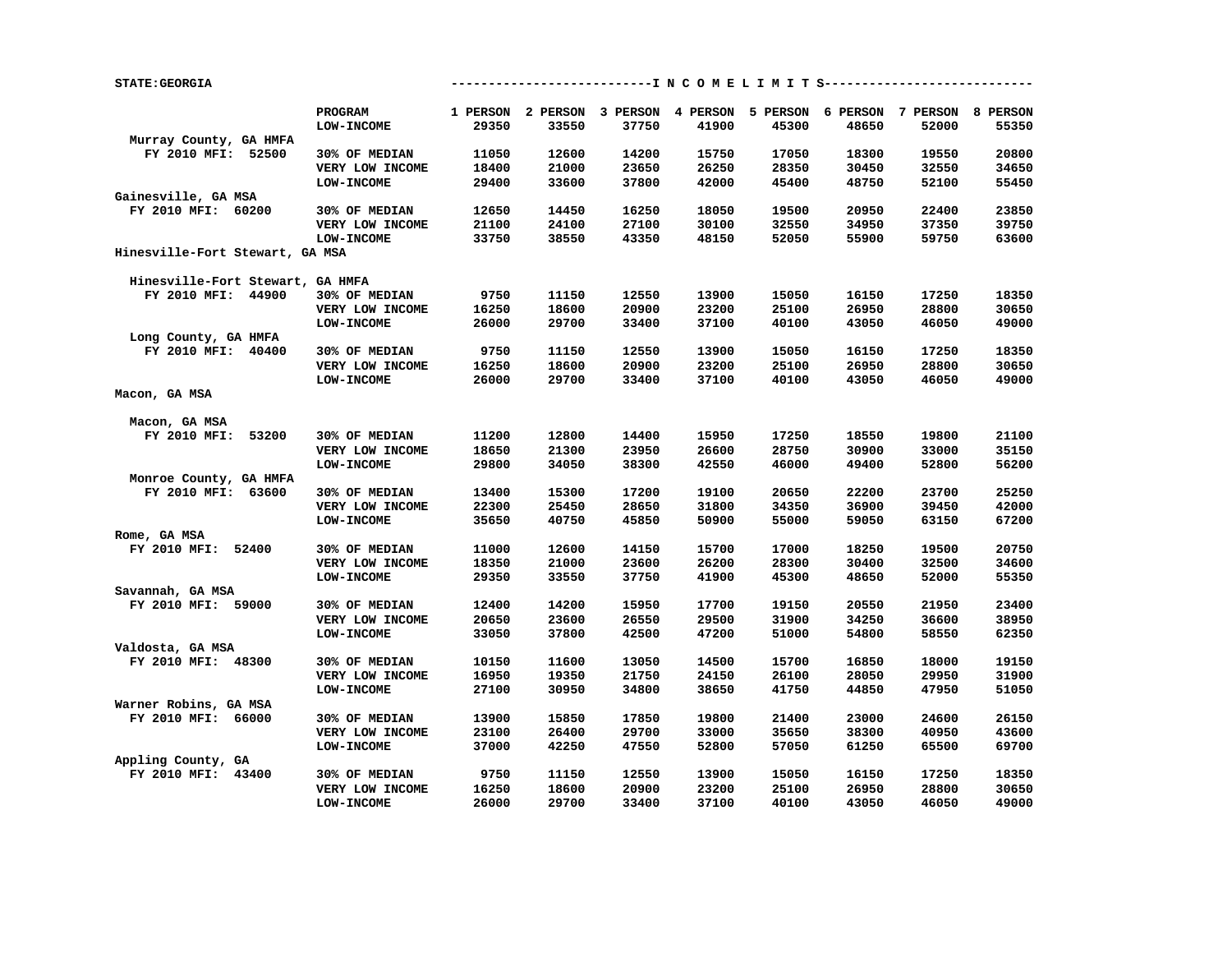| PROGRAM<br>1 PERSON 2 PERSON 3 PERSON 4 PERSON 5 PERSON 6 PERSON 7 PERSON 8 PERSON<br>29350<br>33550<br>37750<br>41900<br>45300<br>48650<br>52000<br>55350<br><b>LOW-INCOME</b><br>Murray County, GA HMFA<br>FY 2010 MFI: 52500<br>30% OF MEDIAN<br>11050<br>12600<br>14200<br>15750<br>17050<br>18300<br>19550<br>20800<br>18400<br>21000<br>23650<br>26250<br>28350<br>30450<br>34650<br>VERY LOW INCOME<br>32550<br>LOW-INCOME<br>29400<br>33600<br>37800<br>42000<br>45400<br>48750<br>52100<br>55450<br>Gainesville, GA MSA<br>FY 2010 MFI: 60200<br>14450<br>16250<br>18050<br>19500<br>20950<br>22400<br>23850<br>30% OF MEDIAN<br>12650<br>21100<br>24100<br>30100<br>32550<br>39750<br>VERY LOW INCOME<br>27100<br>34950<br>37350<br>33750<br>38550<br>48150<br>52050<br>55900<br>59750<br>63600<br><b>LOW-INCOME</b><br>43350<br>Hinesville-Fort Stewart, GA MSA<br>Hinesville-Fort Stewart, GA HMFA<br>15050<br>FY 2010 MFI: 44900<br>9750<br>11150<br>12550<br>13900<br>16150<br>17250<br>18350<br>30% OF MEDIAN<br>16250<br>18600<br>20900<br>23200<br>25100<br>26950<br>28800<br>30650<br>VERY LOW INCOME<br>LOW-INCOME<br>26000<br>29700<br>33400<br>37100<br>40100<br>43050<br>46050<br>49000<br>Long County, GA HMFA<br>FY 2010 MFI: 40400<br>9750<br>11150<br>12550<br>13900<br>15050<br>16150<br>17250<br>18350<br>30% OF MEDIAN<br>20900<br>23200<br>25100<br>26950<br>VERY LOW INCOME<br>16250<br>18600<br>28800<br>30650<br>40100<br>43050<br><b>LOW-INCOME</b><br>26000<br>29700<br>33400<br>37100<br>46050<br>49000<br>Macon, GA MSA<br>Macon, GA MSA<br>17250<br>18550<br>FY 2010 MFI: 53200<br>30% OF MEDIAN<br>11200<br>12800<br>14400<br>15950<br>19800<br>21100<br>18650<br>21300<br>23950<br>26600<br>28750<br>30900<br>33000<br>35150<br>VERY LOW INCOME<br>LOW-INCOME<br>29800<br>34050<br>38300<br>42550<br>46000<br>49400<br>52800<br>56200<br>Monroe County, GA HMFA<br>FY 2010 MFI: 63600<br>13400<br>15300<br>17200<br>19100<br>20650<br>22200<br>23700<br>25250<br>30% OF MEDIAN<br>22300<br>25450<br>28650<br>31800<br>34350<br>36900<br>39450<br>42000<br>VERY LOW INCOME<br>40750<br>50900<br>55000<br>59050<br>63150<br>67200<br><b>LOW-INCOME</b><br>35650<br>45850<br>Rome, GA MSA<br>FY 2010 MFI: 52400<br>12600<br>14150<br>15700<br>17000<br>18250<br>30% OF MEDIAN<br>11000<br>19500<br>20750<br>18350<br>21000<br>23600<br>26200<br>28300<br>30400<br>32500<br>34600<br>VERY LOW INCOME<br>41900<br>45300<br>29350<br>33550<br>37750<br>48650<br>52000<br>55350<br><b>LOW-INCOME</b><br>Savannah, GA MSA<br>FY 2010 MFI: 59000<br>12400<br>14200<br>15950<br>17700<br>19150<br>20550<br>21950<br>23400<br>30% OF MEDIAN<br>20650<br>23600<br>26550<br>29500<br>31900<br>34250<br>36600<br>38950<br>VERY LOW INCOME<br>LOW-INCOME<br>33050<br>37800<br>42500<br>47200<br>51000<br>54800<br>58550<br>62350<br>Valdosta, GA MSA<br>FY 2010 MFI: 48300<br>10150<br>11600<br>13050<br>14500<br>15700<br>16850<br>18000<br>19150<br>30% OF MEDIAN<br>26100<br>VERY LOW INCOME<br>16950<br>19350<br>21750<br>24150<br>28050<br>29950<br>31900<br><b>LOW-INCOME</b><br>27100<br>30950<br>34800<br>38650<br>41750<br>44850<br>47950<br>51050<br>Warner Robins, GA MSA<br>FY 2010 MFI: 66000<br>19800<br>21400<br>23000<br>24600<br>26150<br>30% OF MEDIAN<br>13900<br>15850<br>17850<br>23100<br>26400<br>29700<br>33000<br>35650<br>38300<br>40950<br>43600<br>VERY LOW INCOME<br>37000<br>42250<br>47550<br>52800<br>57050<br>61250<br>69700<br><b>LOW-INCOME</b><br>65500<br>Appling County, GA<br>FY 2010 MFI: 43400<br>9750<br>11150<br>12550<br>13900<br>15050<br>16150<br>17250<br>18350<br>30% OF MEDIAN<br>23200<br>25100<br>26950<br>VERY LOW INCOME<br>16250<br>18600<br>20900<br>28800<br>30650 | <b>STATE: GEORGIA</b> |            |       | ---------------------------I N C O M E L I M I T S----------------------------- |       |       |       |       |       |       |
|-----------------------------------------------------------------------------------------------------------------------------------------------------------------------------------------------------------------------------------------------------------------------------------------------------------------------------------------------------------------------------------------------------------------------------------------------------------------------------------------------------------------------------------------------------------------------------------------------------------------------------------------------------------------------------------------------------------------------------------------------------------------------------------------------------------------------------------------------------------------------------------------------------------------------------------------------------------------------------------------------------------------------------------------------------------------------------------------------------------------------------------------------------------------------------------------------------------------------------------------------------------------------------------------------------------------------------------------------------------------------------------------------------------------------------------------------------------------------------------------------------------------------------------------------------------------------------------------------------------------------------------------------------------------------------------------------------------------------------------------------------------------------------------------------------------------------------------------------------------------------------------------------------------------------------------------------------------------------------------------------------------------------------------------------------------------------------------------------------------------------------------------------------------------------------------------------------------------------------------------------------------------------------------------------------------------------------------------------------------------------------------------------------------------------------------------------------------------------------------------------------------------------------------------------------------------------------------------------------------------------------------------------------------------------------------------------------------------------------------------------------------------------------------------------------------------------------------------------------------------------------------------------------------------------------------------------------------------------------------------------------------------------------------------------------------------------------------------------------------------------------------------------------------------------------------------------------------------------------------------------------------------------------------------------------------------------------------------------------------------------------------------------------------------------------------------------------------------------------------------------------------------------------------------------------------------------------------------------------------------------------------------------------------------------------------------------------------------------------------------------------|-----------------------|------------|-------|---------------------------------------------------------------------------------|-------|-------|-------|-------|-------|-------|
|                                                                                                                                                                                                                                                                                                                                                                                                                                                                                                                                                                                                                                                                                                                                                                                                                                                                                                                                                                                                                                                                                                                                                                                                                                                                                                                                                                                                                                                                                                                                                                                                                                                                                                                                                                                                                                                                                                                                                                                                                                                                                                                                                                                                                                                                                                                                                                                                                                                                                                                                                                                                                                                                                                                                                                                                                                                                                                                                                                                                                                                                                                                                                                                                                                                                                                                                                                                                                                                                                                                                                                                                                                                                                                                                                     |                       |            |       |                                                                                 |       |       |       |       |       |       |
|                                                                                                                                                                                                                                                                                                                                                                                                                                                                                                                                                                                                                                                                                                                                                                                                                                                                                                                                                                                                                                                                                                                                                                                                                                                                                                                                                                                                                                                                                                                                                                                                                                                                                                                                                                                                                                                                                                                                                                                                                                                                                                                                                                                                                                                                                                                                                                                                                                                                                                                                                                                                                                                                                                                                                                                                                                                                                                                                                                                                                                                                                                                                                                                                                                                                                                                                                                                                                                                                                                                                                                                                                                                                                                                                                     |                       |            |       |                                                                                 |       |       |       |       |       |       |
|                                                                                                                                                                                                                                                                                                                                                                                                                                                                                                                                                                                                                                                                                                                                                                                                                                                                                                                                                                                                                                                                                                                                                                                                                                                                                                                                                                                                                                                                                                                                                                                                                                                                                                                                                                                                                                                                                                                                                                                                                                                                                                                                                                                                                                                                                                                                                                                                                                                                                                                                                                                                                                                                                                                                                                                                                                                                                                                                                                                                                                                                                                                                                                                                                                                                                                                                                                                                                                                                                                                                                                                                                                                                                                                                                     |                       |            |       |                                                                                 |       |       |       |       |       |       |
|                                                                                                                                                                                                                                                                                                                                                                                                                                                                                                                                                                                                                                                                                                                                                                                                                                                                                                                                                                                                                                                                                                                                                                                                                                                                                                                                                                                                                                                                                                                                                                                                                                                                                                                                                                                                                                                                                                                                                                                                                                                                                                                                                                                                                                                                                                                                                                                                                                                                                                                                                                                                                                                                                                                                                                                                                                                                                                                                                                                                                                                                                                                                                                                                                                                                                                                                                                                                                                                                                                                                                                                                                                                                                                                                                     |                       |            |       |                                                                                 |       |       |       |       |       |       |
|                                                                                                                                                                                                                                                                                                                                                                                                                                                                                                                                                                                                                                                                                                                                                                                                                                                                                                                                                                                                                                                                                                                                                                                                                                                                                                                                                                                                                                                                                                                                                                                                                                                                                                                                                                                                                                                                                                                                                                                                                                                                                                                                                                                                                                                                                                                                                                                                                                                                                                                                                                                                                                                                                                                                                                                                                                                                                                                                                                                                                                                                                                                                                                                                                                                                                                                                                                                                                                                                                                                                                                                                                                                                                                                                                     |                       |            |       |                                                                                 |       |       |       |       |       |       |
|                                                                                                                                                                                                                                                                                                                                                                                                                                                                                                                                                                                                                                                                                                                                                                                                                                                                                                                                                                                                                                                                                                                                                                                                                                                                                                                                                                                                                                                                                                                                                                                                                                                                                                                                                                                                                                                                                                                                                                                                                                                                                                                                                                                                                                                                                                                                                                                                                                                                                                                                                                                                                                                                                                                                                                                                                                                                                                                                                                                                                                                                                                                                                                                                                                                                                                                                                                                                                                                                                                                                                                                                                                                                                                                                                     |                       |            |       |                                                                                 |       |       |       |       |       |       |
|                                                                                                                                                                                                                                                                                                                                                                                                                                                                                                                                                                                                                                                                                                                                                                                                                                                                                                                                                                                                                                                                                                                                                                                                                                                                                                                                                                                                                                                                                                                                                                                                                                                                                                                                                                                                                                                                                                                                                                                                                                                                                                                                                                                                                                                                                                                                                                                                                                                                                                                                                                                                                                                                                                                                                                                                                                                                                                                                                                                                                                                                                                                                                                                                                                                                                                                                                                                                                                                                                                                                                                                                                                                                                                                                                     |                       |            |       |                                                                                 |       |       |       |       |       |       |
|                                                                                                                                                                                                                                                                                                                                                                                                                                                                                                                                                                                                                                                                                                                                                                                                                                                                                                                                                                                                                                                                                                                                                                                                                                                                                                                                                                                                                                                                                                                                                                                                                                                                                                                                                                                                                                                                                                                                                                                                                                                                                                                                                                                                                                                                                                                                                                                                                                                                                                                                                                                                                                                                                                                                                                                                                                                                                                                                                                                                                                                                                                                                                                                                                                                                                                                                                                                                                                                                                                                                                                                                                                                                                                                                                     |                       |            |       |                                                                                 |       |       |       |       |       |       |
|                                                                                                                                                                                                                                                                                                                                                                                                                                                                                                                                                                                                                                                                                                                                                                                                                                                                                                                                                                                                                                                                                                                                                                                                                                                                                                                                                                                                                                                                                                                                                                                                                                                                                                                                                                                                                                                                                                                                                                                                                                                                                                                                                                                                                                                                                                                                                                                                                                                                                                                                                                                                                                                                                                                                                                                                                                                                                                                                                                                                                                                                                                                                                                                                                                                                                                                                                                                                                                                                                                                                                                                                                                                                                                                                                     |                       |            |       |                                                                                 |       |       |       |       |       |       |
|                                                                                                                                                                                                                                                                                                                                                                                                                                                                                                                                                                                                                                                                                                                                                                                                                                                                                                                                                                                                                                                                                                                                                                                                                                                                                                                                                                                                                                                                                                                                                                                                                                                                                                                                                                                                                                                                                                                                                                                                                                                                                                                                                                                                                                                                                                                                                                                                                                                                                                                                                                                                                                                                                                                                                                                                                                                                                                                                                                                                                                                                                                                                                                                                                                                                                                                                                                                                                                                                                                                                                                                                                                                                                                                                                     |                       |            |       |                                                                                 |       |       |       |       |       |       |
|                                                                                                                                                                                                                                                                                                                                                                                                                                                                                                                                                                                                                                                                                                                                                                                                                                                                                                                                                                                                                                                                                                                                                                                                                                                                                                                                                                                                                                                                                                                                                                                                                                                                                                                                                                                                                                                                                                                                                                                                                                                                                                                                                                                                                                                                                                                                                                                                                                                                                                                                                                                                                                                                                                                                                                                                                                                                                                                                                                                                                                                                                                                                                                                                                                                                                                                                                                                                                                                                                                                                                                                                                                                                                                                                                     |                       |            |       |                                                                                 |       |       |       |       |       |       |
|                                                                                                                                                                                                                                                                                                                                                                                                                                                                                                                                                                                                                                                                                                                                                                                                                                                                                                                                                                                                                                                                                                                                                                                                                                                                                                                                                                                                                                                                                                                                                                                                                                                                                                                                                                                                                                                                                                                                                                                                                                                                                                                                                                                                                                                                                                                                                                                                                                                                                                                                                                                                                                                                                                                                                                                                                                                                                                                                                                                                                                                                                                                                                                                                                                                                                                                                                                                                                                                                                                                                                                                                                                                                                                                                                     |                       |            |       |                                                                                 |       |       |       |       |       |       |
|                                                                                                                                                                                                                                                                                                                                                                                                                                                                                                                                                                                                                                                                                                                                                                                                                                                                                                                                                                                                                                                                                                                                                                                                                                                                                                                                                                                                                                                                                                                                                                                                                                                                                                                                                                                                                                                                                                                                                                                                                                                                                                                                                                                                                                                                                                                                                                                                                                                                                                                                                                                                                                                                                                                                                                                                                                                                                                                                                                                                                                                                                                                                                                                                                                                                                                                                                                                                                                                                                                                                                                                                                                                                                                                                                     |                       |            |       |                                                                                 |       |       |       |       |       |       |
|                                                                                                                                                                                                                                                                                                                                                                                                                                                                                                                                                                                                                                                                                                                                                                                                                                                                                                                                                                                                                                                                                                                                                                                                                                                                                                                                                                                                                                                                                                                                                                                                                                                                                                                                                                                                                                                                                                                                                                                                                                                                                                                                                                                                                                                                                                                                                                                                                                                                                                                                                                                                                                                                                                                                                                                                                                                                                                                                                                                                                                                                                                                                                                                                                                                                                                                                                                                                                                                                                                                                                                                                                                                                                                                                                     |                       |            |       |                                                                                 |       |       |       |       |       |       |
|                                                                                                                                                                                                                                                                                                                                                                                                                                                                                                                                                                                                                                                                                                                                                                                                                                                                                                                                                                                                                                                                                                                                                                                                                                                                                                                                                                                                                                                                                                                                                                                                                                                                                                                                                                                                                                                                                                                                                                                                                                                                                                                                                                                                                                                                                                                                                                                                                                                                                                                                                                                                                                                                                                                                                                                                                                                                                                                                                                                                                                                                                                                                                                                                                                                                                                                                                                                                                                                                                                                                                                                                                                                                                                                                                     |                       |            |       |                                                                                 |       |       |       |       |       |       |
|                                                                                                                                                                                                                                                                                                                                                                                                                                                                                                                                                                                                                                                                                                                                                                                                                                                                                                                                                                                                                                                                                                                                                                                                                                                                                                                                                                                                                                                                                                                                                                                                                                                                                                                                                                                                                                                                                                                                                                                                                                                                                                                                                                                                                                                                                                                                                                                                                                                                                                                                                                                                                                                                                                                                                                                                                                                                                                                                                                                                                                                                                                                                                                                                                                                                                                                                                                                                                                                                                                                                                                                                                                                                                                                                                     |                       |            |       |                                                                                 |       |       |       |       |       |       |
|                                                                                                                                                                                                                                                                                                                                                                                                                                                                                                                                                                                                                                                                                                                                                                                                                                                                                                                                                                                                                                                                                                                                                                                                                                                                                                                                                                                                                                                                                                                                                                                                                                                                                                                                                                                                                                                                                                                                                                                                                                                                                                                                                                                                                                                                                                                                                                                                                                                                                                                                                                                                                                                                                                                                                                                                                                                                                                                                                                                                                                                                                                                                                                                                                                                                                                                                                                                                                                                                                                                                                                                                                                                                                                                                                     |                       |            |       |                                                                                 |       |       |       |       |       |       |
|                                                                                                                                                                                                                                                                                                                                                                                                                                                                                                                                                                                                                                                                                                                                                                                                                                                                                                                                                                                                                                                                                                                                                                                                                                                                                                                                                                                                                                                                                                                                                                                                                                                                                                                                                                                                                                                                                                                                                                                                                                                                                                                                                                                                                                                                                                                                                                                                                                                                                                                                                                                                                                                                                                                                                                                                                                                                                                                                                                                                                                                                                                                                                                                                                                                                                                                                                                                                                                                                                                                                                                                                                                                                                                                                                     |                       |            |       |                                                                                 |       |       |       |       |       |       |
|                                                                                                                                                                                                                                                                                                                                                                                                                                                                                                                                                                                                                                                                                                                                                                                                                                                                                                                                                                                                                                                                                                                                                                                                                                                                                                                                                                                                                                                                                                                                                                                                                                                                                                                                                                                                                                                                                                                                                                                                                                                                                                                                                                                                                                                                                                                                                                                                                                                                                                                                                                                                                                                                                                                                                                                                                                                                                                                                                                                                                                                                                                                                                                                                                                                                                                                                                                                                                                                                                                                                                                                                                                                                                                                                                     |                       |            |       |                                                                                 |       |       |       |       |       |       |
|                                                                                                                                                                                                                                                                                                                                                                                                                                                                                                                                                                                                                                                                                                                                                                                                                                                                                                                                                                                                                                                                                                                                                                                                                                                                                                                                                                                                                                                                                                                                                                                                                                                                                                                                                                                                                                                                                                                                                                                                                                                                                                                                                                                                                                                                                                                                                                                                                                                                                                                                                                                                                                                                                                                                                                                                                                                                                                                                                                                                                                                                                                                                                                                                                                                                                                                                                                                                                                                                                                                                                                                                                                                                                                                                                     |                       |            |       |                                                                                 |       |       |       |       |       |       |
|                                                                                                                                                                                                                                                                                                                                                                                                                                                                                                                                                                                                                                                                                                                                                                                                                                                                                                                                                                                                                                                                                                                                                                                                                                                                                                                                                                                                                                                                                                                                                                                                                                                                                                                                                                                                                                                                                                                                                                                                                                                                                                                                                                                                                                                                                                                                                                                                                                                                                                                                                                                                                                                                                                                                                                                                                                                                                                                                                                                                                                                                                                                                                                                                                                                                                                                                                                                                                                                                                                                                                                                                                                                                                                                                                     |                       |            |       |                                                                                 |       |       |       |       |       |       |
|                                                                                                                                                                                                                                                                                                                                                                                                                                                                                                                                                                                                                                                                                                                                                                                                                                                                                                                                                                                                                                                                                                                                                                                                                                                                                                                                                                                                                                                                                                                                                                                                                                                                                                                                                                                                                                                                                                                                                                                                                                                                                                                                                                                                                                                                                                                                                                                                                                                                                                                                                                                                                                                                                                                                                                                                                                                                                                                                                                                                                                                                                                                                                                                                                                                                                                                                                                                                                                                                                                                                                                                                                                                                                                                                                     |                       |            |       |                                                                                 |       |       |       |       |       |       |
|                                                                                                                                                                                                                                                                                                                                                                                                                                                                                                                                                                                                                                                                                                                                                                                                                                                                                                                                                                                                                                                                                                                                                                                                                                                                                                                                                                                                                                                                                                                                                                                                                                                                                                                                                                                                                                                                                                                                                                                                                                                                                                                                                                                                                                                                                                                                                                                                                                                                                                                                                                                                                                                                                                                                                                                                                                                                                                                                                                                                                                                                                                                                                                                                                                                                                                                                                                                                                                                                                                                                                                                                                                                                                                                                                     |                       |            |       |                                                                                 |       |       |       |       |       |       |
|                                                                                                                                                                                                                                                                                                                                                                                                                                                                                                                                                                                                                                                                                                                                                                                                                                                                                                                                                                                                                                                                                                                                                                                                                                                                                                                                                                                                                                                                                                                                                                                                                                                                                                                                                                                                                                                                                                                                                                                                                                                                                                                                                                                                                                                                                                                                                                                                                                                                                                                                                                                                                                                                                                                                                                                                                                                                                                                                                                                                                                                                                                                                                                                                                                                                                                                                                                                                                                                                                                                                                                                                                                                                                                                                                     |                       |            |       |                                                                                 |       |       |       |       |       |       |
|                                                                                                                                                                                                                                                                                                                                                                                                                                                                                                                                                                                                                                                                                                                                                                                                                                                                                                                                                                                                                                                                                                                                                                                                                                                                                                                                                                                                                                                                                                                                                                                                                                                                                                                                                                                                                                                                                                                                                                                                                                                                                                                                                                                                                                                                                                                                                                                                                                                                                                                                                                                                                                                                                                                                                                                                                                                                                                                                                                                                                                                                                                                                                                                                                                                                                                                                                                                                                                                                                                                                                                                                                                                                                                                                                     |                       |            |       |                                                                                 |       |       |       |       |       |       |
|                                                                                                                                                                                                                                                                                                                                                                                                                                                                                                                                                                                                                                                                                                                                                                                                                                                                                                                                                                                                                                                                                                                                                                                                                                                                                                                                                                                                                                                                                                                                                                                                                                                                                                                                                                                                                                                                                                                                                                                                                                                                                                                                                                                                                                                                                                                                                                                                                                                                                                                                                                                                                                                                                                                                                                                                                                                                                                                                                                                                                                                                                                                                                                                                                                                                                                                                                                                                                                                                                                                                                                                                                                                                                                                                                     |                       |            |       |                                                                                 |       |       |       |       |       |       |
|                                                                                                                                                                                                                                                                                                                                                                                                                                                                                                                                                                                                                                                                                                                                                                                                                                                                                                                                                                                                                                                                                                                                                                                                                                                                                                                                                                                                                                                                                                                                                                                                                                                                                                                                                                                                                                                                                                                                                                                                                                                                                                                                                                                                                                                                                                                                                                                                                                                                                                                                                                                                                                                                                                                                                                                                                                                                                                                                                                                                                                                                                                                                                                                                                                                                                                                                                                                                                                                                                                                                                                                                                                                                                                                                                     |                       |            |       |                                                                                 |       |       |       |       |       |       |
|                                                                                                                                                                                                                                                                                                                                                                                                                                                                                                                                                                                                                                                                                                                                                                                                                                                                                                                                                                                                                                                                                                                                                                                                                                                                                                                                                                                                                                                                                                                                                                                                                                                                                                                                                                                                                                                                                                                                                                                                                                                                                                                                                                                                                                                                                                                                                                                                                                                                                                                                                                                                                                                                                                                                                                                                                                                                                                                                                                                                                                                                                                                                                                                                                                                                                                                                                                                                                                                                                                                                                                                                                                                                                                                                                     |                       |            |       |                                                                                 |       |       |       |       |       |       |
|                                                                                                                                                                                                                                                                                                                                                                                                                                                                                                                                                                                                                                                                                                                                                                                                                                                                                                                                                                                                                                                                                                                                                                                                                                                                                                                                                                                                                                                                                                                                                                                                                                                                                                                                                                                                                                                                                                                                                                                                                                                                                                                                                                                                                                                                                                                                                                                                                                                                                                                                                                                                                                                                                                                                                                                                                                                                                                                                                                                                                                                                                                                                                                                                                                                                                                                                                                                                                                                                                                                                                                                                                                                                                                                                                     |                       |            |       |                                                                                 |       |       |       |       |       |       |
|                                                                                                                                                                                                                                                                                                                                                                                                                                                                                                                                                                                                                                                                                                                                                                                                                                                                                                                                                                                                                                                                                                                                                                                                                                                                                                                                                                                                                                                                                                                                                                                                                                                                                                                                                                                                                                                                                                                                                                                                                                                                                                                                                                                                                                                                                                                                                                                                                                                                                                                                                                                                                                                                                                                                                                                                                                                                                                                                                                                                                                                                                                                                                                                                                                                                                                                                                                                                                                                                                                                                                                                                                                                                                                                                                     |                       |            |       |                                                                                 |       |       |       |       |       |       |
|                                                                                                                                                                                                                                                                                                                                                                                                                                                                                                                                                                                                                                                                                                                                                                                                                                                                                                                                                                                                                                                                                                                                                                                                                                                                                                                                                                                                                                                                                                                                                                                                                                                                                                                                                                                                                                                                                                                                                                                                                                                                                                                                                                                                                                                                                                                                                                                                                                                                                                                                                                                                                                                                                                                                                                                                                                                                                                                                                                                                                                                                                                                                                                                                                                                                                                                                                                                                                                                                                                                                                                                                                                                                                                                                                     |                       |            |       |                                                                                 |       |       |       |       |       |       |
|                                                                                                                                                                                                                                                                                                                                                                                                                                                                                                                                                                                                                                                                                                                                                                                                                                                                                                                                                                                                                                                                                                                                                                                                                                                                                                                                                                                                                                                                                                                                                                                                                                                                                                                                                                                                                                                                                                                                                                                                                                                                                                                                                                                                                                                                                                                                                                                                                                                                                                                                                                                                                                                                                                                                                                                                                                                                                                                                                                                                                                                                                                                                                                                                                                                                                                                                                                                                                                                                                                                                                                                                                                                                                                                                                     |                       |            |       |                                                                                 |       |       |       |       |       |       |
|                                                                                                                                                                                                                                                                                                                                                                                                                                                                                                                                                                                                                                                                                                                                                                                                                                                                                                                                                                                                                                                                                                                                                                                                                                                                                                                                                                                                                                                                                                                                                                                                                                                                                                                                                                                                                                                                                                                                                                                                                                                                                                                                                                                                                                                                                                                                                                                                                                                                                                                                                                                                                                                                                                                                                                                                                                                                                                                                                                                                                                                                                                                                                                                                                                                                                                                                                                                                                                                                                                                                                                                                                                                                                                                                                     |                       |            |       |                                                                                 |       |       |       |       |       |       |
|                                                                                                                                                                                                                                                                                                                                                                                                                                                                                                                                                                                                                                                                                                                                                                                                                                                                                                                                                                                                                                                                                                                                                                                                                                                                                                                                                                                                                                                                                                                                                                                                                                                                                                                                                                                                                                                                                                                                                                                                                                                                                                                                                                                                                                                                                                                                                                                                                                                                                                                                                                                                                                                                                                                                                                                                                                                                                                                                                                                                                                                                                                                                                                                                                                                                                                                                                                                                                                                                                                                                                                                                                                                                                                                                                     |                       |            |       |                                                                                 |       |       |       |       |       |       |
|                                                                                                                                                                                                                                                                                                                                                                                                                                                                                                                                                                                                                                                                                                                                                                                                                                                                                                                                                                                                                                                                                                                                                                                                                                                                                                                                                                                                                                                                                                                                                                                                                                                                                                                                                                                                                                                                                                                                                                                                                                                                                                                                                                                                                                                                                                                                                                                                                                                                                                                                                                                                                                                                                                                                                                                                                                                                                                                                                                                                                                                                                                                                                                                                                                                                                                                                                                                                                                                                                                                                                                                                                                                                                                                                                     |                       |            |       |                                                                                 |       |       |       |       |       |       |
|                                                                                                                                                                                                                                                                                                                                                                                                                                                                                                                                                                                                                                                                                                                                                                                                                                                                                                                                                                                                                                                                                                                                                                                                                                                                                                                                                                                                                                                                                                                                                                                                                                                                                                                                                                                                                                                                                                                                                                                                                                                                                                                                                                                                                                                                                                                                                                                                                                                                                                                                                                                                                                                                                                                                                                                                                                                                                                                                                                                                                                                                                                                                                                                                                                                                                                                                                                                                                                                                                                                                                                                                                                                                                                                                                     |                       |            |       |                                                                                 |       |       |       |       |       |       |
|                                                                                                                                                                                                                                                                                                                                                                                                                                                                                                                                                                                                                                                                                                                                                                                                                                                                                                                                                                                                                                                                                                                                                                                                                                                                                                                                                                                                                                                                                                                                                                                                                                                                                                                                                                                                                                                                                                                                                                                                                                                                                                                                                                                                                                                                                                                                                                                                                                                                                                                                                                                                                                                                                                                                                                                                                                                                                                                                                                                                                                                                                                                                                                                                                                                                                                                                                                                                                                                                                                                                                                                                                                                                                                                                                     |                       |            |       |                                                                                 |       |       |       |       |       |       |
|                                                                                                                                                                                                                                                                                                                                                                                                                                                                                                                                                                                                                                                                                                                                                                                                                                                                                                                                                                                                                                                                                                                                                                                                                                                                                                                                                                                                                                                                                                                                                                                                                                                                                                                                                                                                                                                                                                                                                                                                                                                                                                                                                                                                                                                                                                                                                                                                                                                                                                                                                                                                                                                                                                                                                                                                                                                                                                                                                                                                                                                                                                                                                                                                                                                                                                                                                                                                                                                                                                                                                                                                                                                                                                                                                     |                       |            |       |                                                                                 |       |       |       |       |       |       |
|                                                                                                                                                                                                                                                                                                                                                                                                                                                                                                                                                                                                                                                                                                                                                                                                                                                                                                                                                                                                                                                                                                                                                                                                                                                                                                                                                                                                                                                                                                                                                                                                                                                                                                                                                                                                                                                                                                                                                                                                                                                                                                                                                                                                                                                                                                                                                                                                                                                                                                                                                                                                                                                                                                                                                                                                                                                                                                                                                                                                                                                                                                                                                                                                                                                                                                                                                                                                                                                                                                                                                                                                                                                                                                                                                     |                       |            |       |                                                                                 |       |       |       |       |       |       |
|                                                                                                                                                                                                                                                                                                                                                                                                                                                                                                                                                                                                                                                                                                                                                                                                                                                                                                                                                                                                                                                                                                                                                                                                                                                                                                                                                                                                                                                                                                                                                                                                                                                                                                                                                                                                                                                                                                                                                                                                                                                                                                                                                                                                                                                                                                                                                                                                                                                                                                                                                                                                                                                                                                                                                                                                                                                                                                                                                                                                                                                                                                                                                                                                                                                                                                                                                                                                                                                                                                                                                                                                                                                                                                                                                     |                       |            |       |                                                                                 |       |       |       |       |       |       |
|                                                                                                                                                                                                                                                                                                                                                                                                                                                                                                                                                                                                                                                                                                                                                                                                                                                                                                                                                                                                                                                                                                                                                                                                                                                                                                                                                                                                                                                                                                                                                                                                                                                                                                                                                                                                                                                                                                                                                                                                                                                                                                                                                                                                                                                                                                                                                                                                                                                                                                                                                                                                                                                                                                                                                                                                                                                                                                                                                                                                                                                                                                                                                                                                                                                                                                                                                                                                                                                                                                                                                                                                                                                                                                                                                     |                       |            |       |                                                                                 |       |       |       |       |       |       |
|                                                                                                                                                                                                                                                                                                                                                                                                                                                                                                                                                                                                                                                                                                                                                                                                                                                                                                                                                                                                                                                                                                                                                                                                                                                                                                                                                                                                                                                                                                                                                                                                                                                                                                                                                                                                                                                                                                                                                                                                                                                                                                                                                                                                                                                                                                                                                                                                                                                                                                                                                                                                                                                                                                                                                                                                                                                                                                                                                                                                                                                                                                                                                                                                                                                                                                                                                                                                                                                                                                                                                                                                                                                                                                                                                     |                       |            |       |                                                                                 |       |       |       |       |       |       |
|                                                                                                                                                                                                                                                                                                                                                                                                                                                                                                                                                                                                                                                                                                                                                                                                                                                                                                                                                                                                                                                                                                                                                                                                                                                                                                                                                                                                                                                                                                                                                                                                                                                                                                                                                                                                                                                                                                                                                                                                                                                                                                                                                                                                                                                                                                                                                                                                                                                                                                                                                                                                                                                                                                                                                                                                                                                                                                                                                                                                                                                                                                                                                                                                                                                                                                                                                                                                                                                                                                                                                                                                                                                                                                                                                     |                       |            |       |                                                                                 |       |       |       |       |       |       |
|                                                                                                                                                                                                                                                                                                                                                                                                                                                                                                                                                                                                                                                                                                                                                                                                                                                                                                                                                                                                                                                                                                                                                                                                                                                                                                                                                                                                                                                                                                                                                                                                                                                                                                                                                                                                                                                                                                                                                                                                                                                                                                                                                                                                                                                                                                                                                                                                                                                                                                                                                                                                                                                                                                                                                                                                                                                                                                                                                                                                                                                                                                                                                                                                                                                                                                                                                                                                                                                                                                                                                                                                                                                                                                                                                     |                       |            |       |                                                                                 |       |       |       |       |       |       |
|                                                                                                                                                                                                                                                                                                                                                                                                                                                                                                                                                                                                                                                                                                                                                                                                                                                                                                                                                                                                                                                                                                                                                                                                                                                                                                                                                                                                                                                                                                                                                                                                                                                                                                                                                                                                                                                                                                                                                                                                                                                                                                                                                                                                                                                                                                                                                                                                                                                                                                                                                                                                                                                                                                                                                                                                                                                                                                                                                                                                                                                                                                                                                                                                                                                                                                                                                                                                                                                                                                                                                                                                                                                                                                                                                     |                       |            |       |                                                                                 |       |       |       |       |       |       |
|                                                                                                                                                                                                                                                                                                                                                                                                                                                                                                                                                                                                                                                                                                                                                                                                                                                                                                                                                                                                                                                                                                                                                                                                                                                                                                                                                                                                                                                                                                                                                                                                                                                                                                                                                                                                                                                                                                                                                                                                                                                                                                                                                                                                                                                                                                                                                                                                                                                                                                                                                                                                                                                                                                                                                                                                                                                                                                                                                                                                                                                                                                                                                                                                                                                                                                                                                                                                                                                                                                                                                                                                                                                                                                                                                     |                       |            |       |                                                                                 |       |       |       |       |       |       |
|                                                                                                                                                                                                                                                                                                                                                                                                                                                                                                                                                                                                                                                                                                                                                                                                                                                                                                                                                                                                                                                                                                                                                                                                                                                                                                                                                                                                                                                                                                                                                                                                                                                                                                                                                                                                                                                                                                                                                                                                                                                                                                                                                                                                                                                                                                                                                                                                                                                                                                                                                                                                                                                                                                                                                                                                                                                                                                                                                                                                                                                                                                                                                                                                                                                                                                                                                                                                                                                                                                                                                                                                                                                                                                                                                     |                       |            |       |                                                                                 |       |       |       |       |       |       |
|                                                                                                                                                                                                                                                                                                                                                                                                                                                                                                                                                                                                                                                                                                                                                                                                                                                                                                                                                                                                                                                                                                                                                                                                                                                                                                                                                                                                                                                                                                                                                                                                                                                                                                                                                                                                                                                                                                                                                                                                                                                                                                                                                                                                                                                                                                                                                                                                                                                                                                                                                                                                                                                                                                                                                                                                                                                                                                                                                                                                                                                                                                                                                                                                                                                                                                                                                                                                                                                                                                                                                                                                                                                                                                                                                     |                       | LOW-INCOME | 26000 | 29700                                                                           | 33400 | 37100 | 40100 | 43050 | 46050 | 49000 |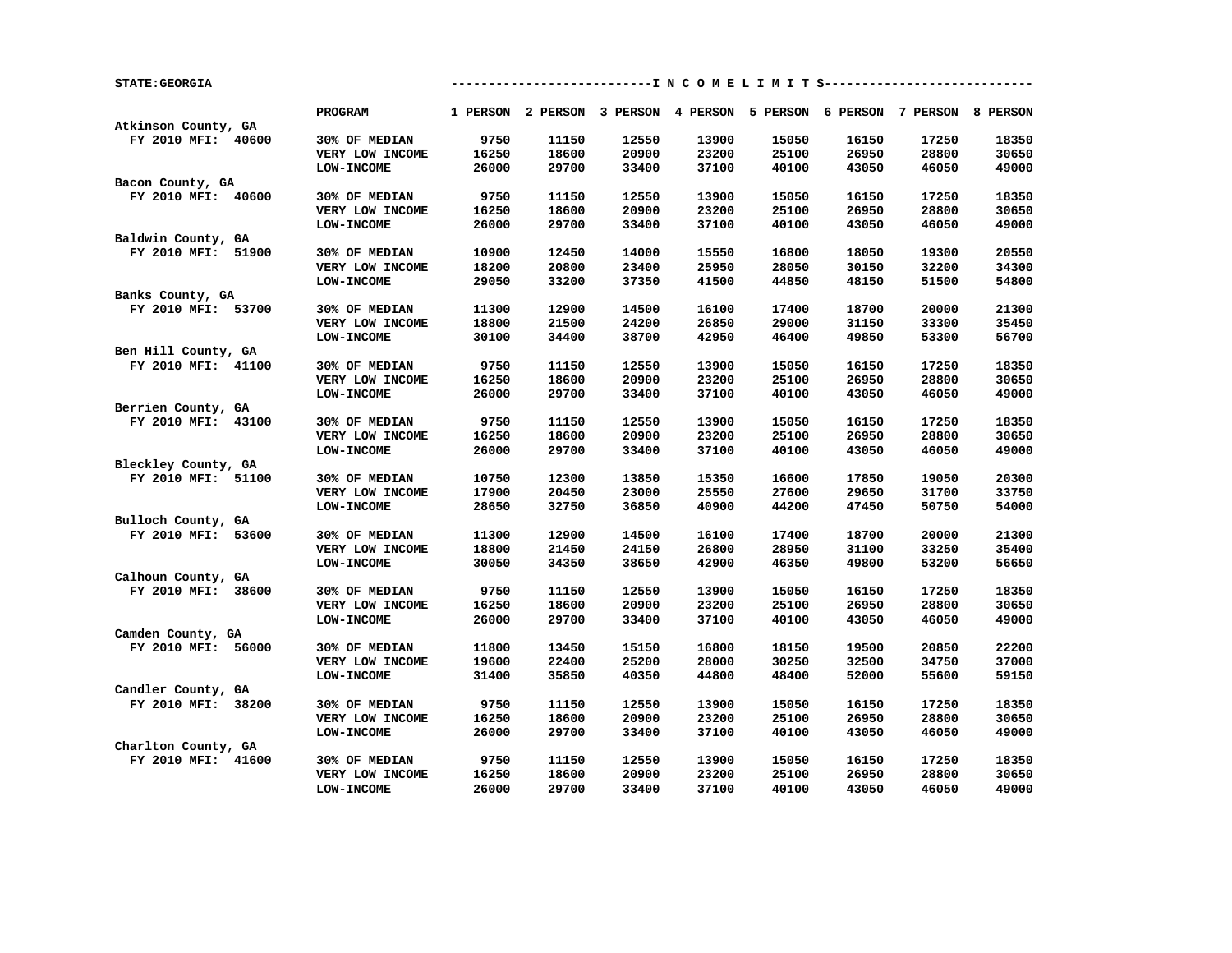| <b>STATE: GEORGIA</b> |                   |       |       |       |       | ----------I N C O M E L I M I T S----------                             |       |       |       |
|-----------------------|-------------------|-------|-------|-------|-------|-------------------------------------------------------------------------|-------|-------|-------|
| Atkinson County, GA   | <b>PROGRAM</b>    |       |       |       |       | 1 PERSON 2 PERSON 3 PERSON 4 PERSON 5 PERSON 6 PERSON 7 PERSON 8 PERSON |       |       |       |
| FY 2010 MFI: 40600    | 30% OF MEDIAN     | 9750  | 11150 | 12550 | 13900 | 15050                                                                   | 16150 | 17250 | 18350 |
|                       | VERY LOW INCOME   | 16250 | 18600 | 20900 | 23200 | 25100                                                                   | 26950 | 28800 | 30650 |
|                       | LOW-INCOME        | 26000 | 29700 | 33400 | 37100 | 40100                                                                   | 43050 | 46050 | 49000 |
| Bacon County, GA      |                   |       |       |       |       |                                                                         |       |       |       |
| FY 2010 MFI: 40600    | 30% OF MEDIAN     | 9750  | 11150 | 12550 | 13900 | 15050                                                                   | 16150 | 17250 | 18350 |
|                       | VERY LOW INCOME   | 16250 | 18600 | 20900 | 23200 | 25100                                                                   | 26950 | 28800 | 30650 |
|                       |                   | 26000 |       |       |       |                                                                         |       |       |       |
|                       | <b>LOW-INCOME</b> |       | 29700 | 33400 | 37100 | 40100                                                                   | 43050 | 46050 | 49000 |
| Baldwin County, GA    |                   |       |       |       |       |                                                                         |       |       |       |
| FY 2010 MFI: 51900    | 30% OF MEDIAN     | 10900 | 12450 | 14000 | 15550 | 16800                                                                   | 18050 | 19300 | 20550 |
|                       | VERY LOW INCOME   | 18200 | 20800 | 23400 | 25950 | 28050                                                                   | 30150 | 32200 | 34300 |
|                       | <b>LOW-INCOME</b> | 29050 | 33200 | 37350 | 41500 | 44850                                                                   | 48150 | 51500 | 54800 |
| Banks County, GA      |                   |       |       |       |       |                                                                         |       |       |       |
| FY 2010 MFI: 53700    | 30% OF MEDIAN     | 11300 | 12900 | 14500 | 16100 | 17400                                                                   | 18700 | 20000 | 21300 |
|                       | VERY LOW INCOME   | 18800 | 21500 | 24200 | 26850 | 29000                                                                   | 31150 | 33300 | 35450 |
|                       | LOW-INCOME        | 30100 | 34400 | 38700 | 42950 | 46400                                                                   | 49850 | 53300 | 56700 |
| Ben Hill County, GA   |                   |       |       |       |       |                                                                         |       |       |       |
| FY 2010 MFI: 41100    | 30% OF MEDIAN     | 9750  | 11150 | 12550 | 13900 | 15050                                                                   | 16150 | 17250 | 18350 |
|                       | VERY LOW INCOME   | 16250 | 18600 | 20900 | 23200 | 25100                                                                   | 26950 | 28800 | 30650 |
|                       | <b>LOW-INCOME</b> | 26000 | 29700 | 33400 | 37100 | 40100                                                                   | 43050 | 46050 | 49000 |
| Berrien County, GA    |                   |       |       |       |       |                                                                         |       |       |       |
| FY 2010 MFI: 43100    | 30% OF MEDIAN     | 9750  | 11150 | 12550 | 13900 | 15050                                                                   | 16150 | 17250 | 18350 |
|                       | VERY LOW INCOME   | 16250 | 18600 | 20900 | 23200 | 25100                                                                   | 26950 | 28800 | 30650 |
|                       | <b>LOW-INCOME</b> | 26000 | 29700 | 33400 | 37100 | 40100                                                                   | 43050 | 46050 | 49000 |
| Bleckley County, GA   |                   |       |       |       |       |                                                                         |       |       |       |
| FY 2010 MFI: 51100    | 30% OF MEDIAN     | 10750 | 12300 | 13850 | 15350 | 16600                                                                   | 17850 | 19050 | 20300 |
|                       | VERY LOW INCOME   | 17900 | 20450 | 23000 | 25550 | 27600                                                                   | 29650 | 31700 | 33750 |
|                       | <b>LOW-INCOME</b> | 28650 | 32750 | 36850 | 40900 | 44200                                                                   | 47450 | 50750 | 54000 |
| Bulloch County, GA    |                   |       |       |       |       |                                                                         |       |       |       |
| FY 2010 MFI: 53600    | 30% OF MEDIAN     | 11300 | 12900 | 14500 | 16100 | 17400                                                                   | 18700 | 20000 | 21300 |
|                       | VERY LOW INCOME   | 18800 | 21450 | 24150 | 26800 | 28950                                                                   | 31100 | 33250 | 35400 |
|                       | <b>LOW-INCOME</b> | 30050 | 34350 | 38650 | 42900 | 46350                                                                   | 49800 | 53200 | 56650 |
| Calhoun County, GA    |                   |       |       |       |       |                                                                         |       |       |       |
| FY 2010 MFI: 38600    | 30% OF MEDIAN     | 9750  | 11150 | 12550 | 13900 | 15050                                                                   | 16150 | 17250 | 18350 |
|                       | VERY LOW INCOME   | 16250 | 18600 | 20900 | 23200 | 25100                                                                   | 26950 | 28800 | 30650 |
|                       | <b>LOW-INCOME</b> | 26000 | 29700 | 33400 | 37100 | 40100                                                                   | 43050 | 46050 | 49000 |
| Camden County, GA     |                   |       |       |       |       |                                                                         |       |       |       |
| FY 2010 MFI: 56000    | 30% OF MEDIAN     | 11800 | 13450 | 15150 | 16800 | 18150                                                                   | 19500 | 20850 | 22200 |
|                       | VERY LOW INCOME   | 19600 | 22400 | 25200 | 28000 | 30250                                                                   | 32500 | 34750 | 37000 |
|                       | <b>LOW-INCOME</b> | 31400 | 35850 | 40350 | 44800 | 48400                                                                   | 52000 | 55600 | 59150 |
| Candler County, GA    |                   |       |       |       |       |                                                                         |       |       |       |
| FY 2010 MFI: 38200    | 30% OF MEDIAN     | 9750  | 11150 | 12550 | 13900 | 15050                                                                   | 16150 | 17250 | 18350 |
|                       |                   |       |       |       |       |                                                                         |       |       |       |
|                       | VERY LOW INCOME   | 16250 | 18600 | 20900 | 23200 | 25100                                                                   | 26950 | 28800 | 30650 |
|                       | <b>LOW-INCOME</b> | 26000 | 29700 | 33400 | 37100 | 40100                                                                   | 43050 | 46050 | 49000 |
| Charlton County, GA   |                   |       |       |       |       |                                                                         |       |       |       |
| FY 2010 MFI: 41600    | 30% OF MEDIAN     | 9750  | 11150 | 12550 | 13900 | 15050                                                                   | 16150 | 17250 | 18350 |
|                       | VERY LOW INCOME   | 16250 | 18600 | 20900 | 23200 | 25100                                                                   | 26950 | 28800 | 30650 |
|                       | <b>LOW-INCOME</b> | 26000 | 29700 | 33400 | 37100 | 40100                                                                   | 43050 | 46050 | 49000 |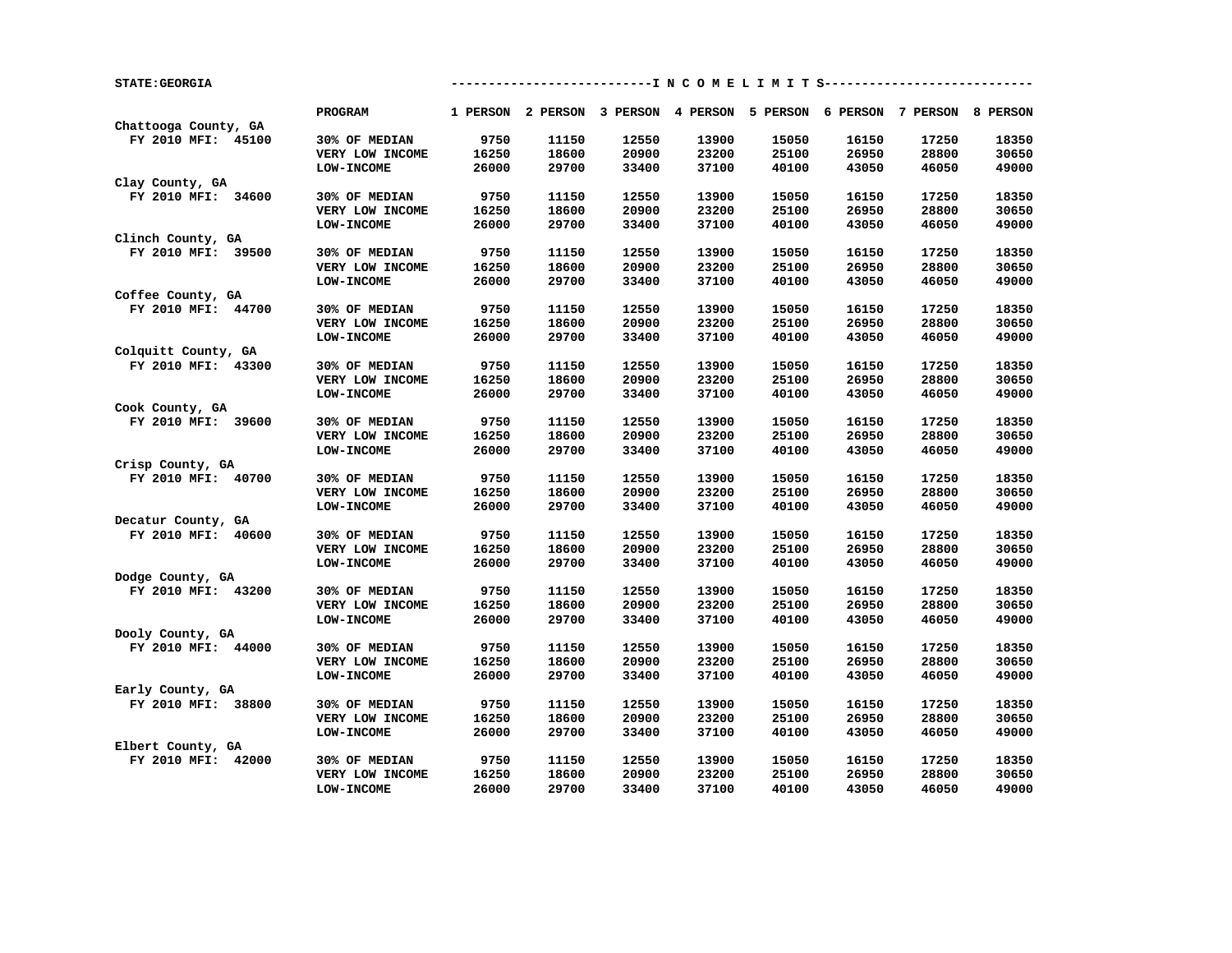| <b>STATE: GEORGIA</b> |                   |       |       |       |       |       | --------------------------I N C O M E L I M I T S-----------------      |       |       |
|-----------------------|-------------------|-------|-------|-------|-------|-------|-------------------------------------------------------------------------|-------|-------|
|                       | PROGRAM           |       |       |       |       |       | 1 PERSON 2 PERSON 3 PERSON 4 PERSON 5 PERSON 6 PERSON 7 PERSON 8 PERSON |       |       |
| Chattooga County, GA  |                   |       |       |       |       |       |                                                                         |       |       |
| FY 2010 MFI: 45100    | 30% OF MEDIAN     | 9750  | 11150 | 12550 | 13900 | 15050 | 16150                                                                   | 17250 | 18350 |
|                       | VERY LOW INCOME   | 16250 | 18600 | 20900 | 23200 | 25100 | 26950                                                                   | 28800 | 30650 |
|                       | <b>LOW-INCOME</b> | 26000 | 29700 | 33400 | 37100 | 40100 | 43050                                                                   | 46050 | 49000 |
| Clay County, GA       |                   |       |       |       |       |       |                                                                         |       |       |
| FY 2010 MFI: 34600    | 30% OF MEDIAN     | 9750  | 11150 | 12550 | 13900 | 15050 | 16150                                                                   | 17250 | 18350 |
|                       | VERY LOW INCOME   | 16250 | 18600 | 20900 | 23200 | 25100 | 26950                                                                   | 28800 | 30650 |
|                       | LOW-INCOME        | 26000 | 29700 | 33400 | 37100 | 40100 | 43050                                                                   | 46050 | 49000 |
| Clinch County, GA     |                   |       |       |       |       |       |                                                                         |       |       |
| FY 2010 MFI: 39500    | 30% OF MEDIAN     | 9750  | 11150 | 12550 | 13900 | 15050 | 16150                                                                   | 17250 | 18350 |
|                       | VERY LOW INCOME   | 16250 | 18600 | 20900 | 23200 | 25100 | 26950                                                                   | 28800 | 30650 |
|                       | LOW-INCOME        | 26000 | 29700 | 33400 | 37100 | 40100 | 43050                                                                   | 46050 | 49000 |
| Coffee County, GA     |                   |       |       |       |       |       |                                                                         |       |       |
| FY 2010 MFI: 44700    | 30% OF MEDIAN     | 9750  | 11150 | 12550 | 13900 | 15050 | 16150                                                                   | 17250 | 18350 |
|                       | VERY LOW INCOME   | 16250 | 18600 | 20900 | 23200 | 25100 | 26950                                                                   | 28800 | 30650 |
|                       | <b>LOW-INCOME</b> | 26000 | 29700 | 33400 | 37100 | 40100 | 43050                                                                   | 46050 | 49000 |
| Colquitt County, GA   |                   |       |       |       |       |       |                                                                         |       |       |
| FY 2010 MFI: 43300    | 30% OF MEDIAN     | 9750  | 11150 | 12550 | 13900 | 15050 | 16150                                                                   | 17250 | 18350 |
|                       | VERY LOW INCOME   | 16250 | 18600 | 20900 | 23200 | 25100 | 26950                                                                   | 28800 | 30650 |
|                       | <b>LOW-INCOME</b> | 26000 | 29700 | 33400 | 37100 | 40100 | 43050                                                                   | 46050 | 49000 |
| Cook County, GA       |                   |       |       |       |       |       |                                                                         |       |       |
| FY 2010 MFI: 39600    | 30% OF MEDIAN     | 9750  | 11150 | 12550 | 13900 | 15050 | 16150                                                                   | 17250 | 18350 |
|                       | VERY LOW INCOME   | 16250 | 18600 | 20900 | 23200 | 25100 | 26950                                                                   | 28800 | 30650 |
|                       | <b>LOW-INCOME</b> | 26000 | 29700 | 33400 | 37100 | 40100 | 43050                                                                   | 46050 | 49000 |
| Crisp County, GA      |                   |       |       |       |       |       |                                                                         |       |       |
| FY 2010 MFI: 40700    | 30% OF MEDIAN     | 9750  | 11150 | 12550 | 13900 | 15050 | 16150                                                                   | 17250 | 18350 |
|                       | VERY LOW INCOME   | 16250 | 18600 | 20900 | 23200 | 25100 | 26950                                                                   | 28800 | 30650 |
|                       | LOW-INCOME        | 26000 | 29700 | 33400 | 37100 | 40100 | 43050                                                                   | 46050 | 49000 |
| Decatur County, GA    |                   |       |       |       |       |       |                                                                         |       |       |
| FY 2010 MFI: 40600    | 30% OF MEDIAN     | 9750  | 11150 | 12550 | 13900 | 15050 | 16150                                                                   | 17250 | 18350 |
|                       |                   |       |       |       |       |       |                                                                         |       |       |
|                       | VERY LOW INCOME   | 16250 | 18600 | 20900 | 23200 | 25100 | 26950                                                                   | 28800 | 30650 |
|                       | <b>LOW-INCOME</b> | 26000 | 29700 | 33400 | 37100 | 40100 | 43050                                                                   | 46050 | 49000 |
| Dodge County, GA      |                   |       |       |       |       |       |                                                                         |       |       |
| FY 2010 MFI: 43200    | 30% OF MEDIAN     | 9750  | 11150 | 12550 | 13900 | 15050 | 16150                                                                   | 17250 | 18350 |
|                       | VERY LOW INCOME   | 16250 | 18600 | 20900 | 23200 | 25100 | 26950                                                                   | 28800 | 30650 |
|                       | <b>LOW-INCOME</b> | 26000 | 29700 | 33400 | 37100 | 40100 | 43050                                                                   | 46050 | 49000 |
| Dooly County, GA      |                   |       |       |       |       |       |                                                                         |       |       |
| FY 2010 MFI: 44000    | 30% OF MEDIAN     | 9750  | 11150 | 12550 | 13900 | 15050 | 16150                                                                   | 17250 | 18350 |
|                       | VERY LOW INCOME   | 16250 | 18600 | 20900 | 23200 | 25100 | 26950                                                                   | 28800 | 30650 |
|                       | <b>LOW-INCOME</b> | 26000 | 29700 | 33400 | 37100 | 40100 | 43050                                                                   | 46050 | 49000 |
| Early County, GA      |                   |       |       |       |       |       |                                                                         |       |       |
| FY 2010 MFI: 38800    | 30% OF MEDIAN     | 9750  | 11150 | 12550 | 13900 | 15050 | 16150                                                                   | 17250 | 18350 |
|                       | VERY LOW INCOME   | 16250 | 18600 | 20900 | 23200 | 25100 | 26950                                                                   | 28800 | 30650 |
|                       | <b>LOW-INCOME</b> | 26000 | 29700 | 33400 | 37100 | 40100 | 43050                                                                   | 46050 | 49000 |
| Elbert County, GA     |                   |       |       |       |       |       |                                                                         |       |       |
| FY 2010 MFI: 42000    | 30% OF MEDIAN     | 9750  | 11150 | 12550 | 13900 | 15050 | 16150                                                                   | 17250 | 18350 |
|                       | VERY LOW INCOME   | 16250 | 18600 | 20900 | 23200 | 25100 | 26950                                                                   | 28800 | 30650 |
|                       | <b>LOW-INCOME</b> | 26000 | 29700 | 33400 | 37100 | 40100 | 43050                                                                   | 46050 | 49000 |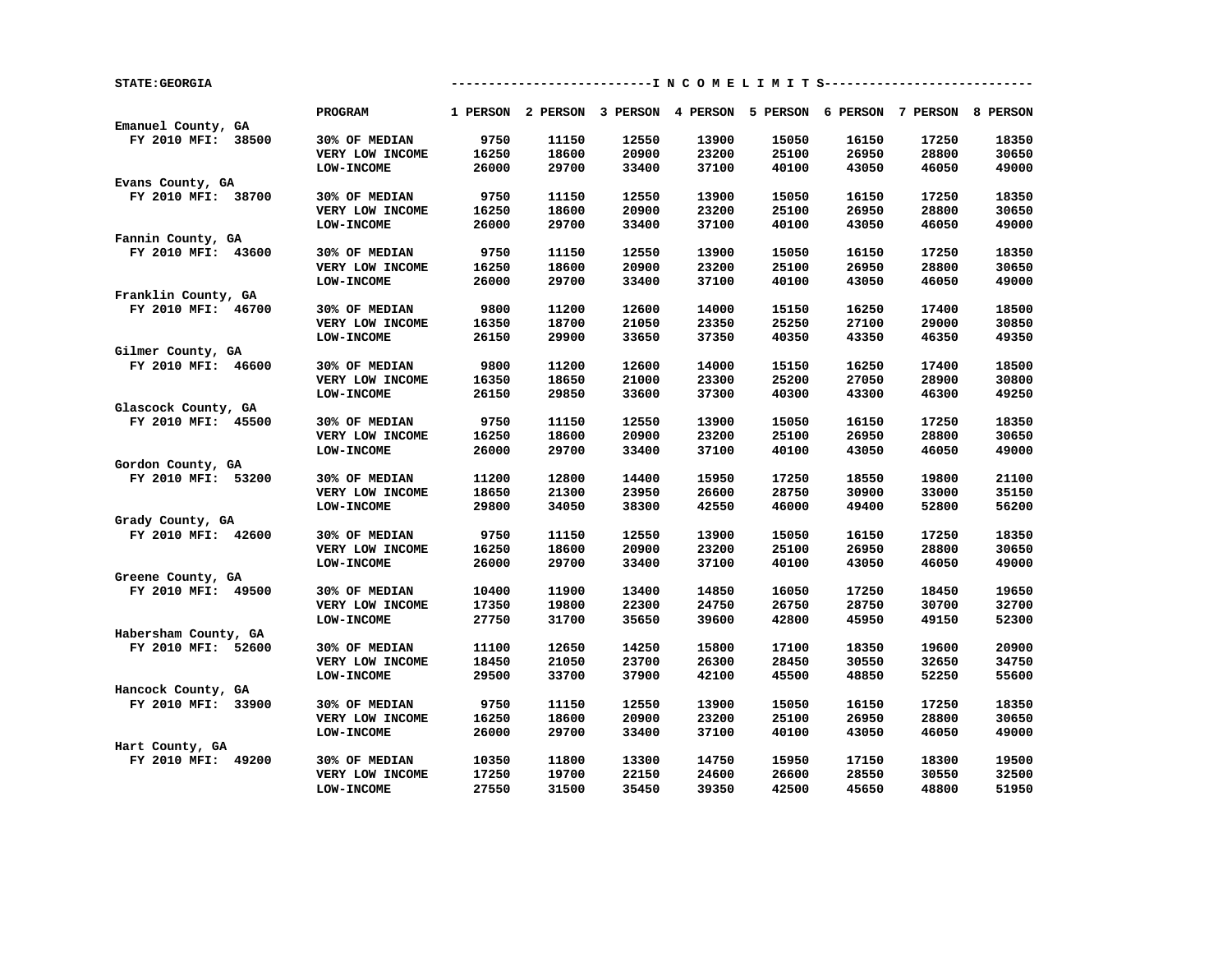| <b>STATE: GEORGIA</b>                   |                   |       |       |       | ------------I N C O M E L I M I T S----------                           |       |       |       |       |
|-----------------------------------------|-------------------|-------|-------|-------|-------------------------------------------------------------------------|-------|-------|-------|-------|
| Emanuel County, GA                      | <b>PROGRAM</b>    |       |       |       | 1 PERSON 2 PERSON 3 PERSON 4 PERSON 5 PERSON 6 PERSON 7 PERSON 8 PERSON |       |       |       |       |
| FY 2010 MFI: 38500                      | 30% OF MEDIAN     | 9750  | 11150 | 12550 | 13900                                                                   | 15050 | 16150 | 17250 | 18350 |
|                                         | VERY LOW INCOME   | 16250 | 18600 | 20900 | 23200                                                                   | 25100 | 26950 | 28800 | 30650 |
|                                         | LOW-INCOME        | 26000 | 29700 | 33400 | 37100                                                                   | 40100 | 43050 | 46050 | 49000 |
|                                         |                   |       |       |       |                                                                         |       |       |       |       |
| Evans County, GA                        |                   |       |       |       |                                                                         |       |       |       |       |
| FY 2010 MFI: 38700                      | 30% OF MEDIAN     | 9750  | 11150 | 12550 | 13900                                                                   | 15050 | 16150 | 17250 | 18350 |
|                                         | VERY LOW INCOME   | 16250 | 18600 | 20900 | 23200                                                                   | 25100 | 26950 | 28800 | 30650 |
|                                         | LOW-INCOME        | 26000 | 29700 | 33400 | 37100                                                                   | 40100 | 43050 | 46050 | 49000 |
| Fannin County, GA                       |                   |       |       |       |                                                                         |       |       |       |       |
| FY 2010 MFI: 43600                      | 30% OF MEDIAN     | 9750  | 11150 | 12550 | 13900                                                                   | 15050 | 16150 | 17250 | 18350 |
|                                         | VERY LOW INCOME   | 16250 | 18600 | 20900 | 23200                                                                   | 25100 | 26950 | 28800 | 30650 |
|                                         | <b>LOW-INCOME</b> | 26000 | 29700 | 33400 | 37100                                                                   | 40100 | 43050 | 46050 | 49000 |
| Franklin County, GA                     |                   |       |       |       |                                                                         |       |       |       |       |
| FY 2010 MFI: 46700                      | 30% OF MEDIAN     | 9800  | 11200 | 12600 | 14000                                                                   | 15150 | 16250 | 17400 | 18500 |
|                                         | VERY LOW INCOME   | 16350 | 18700 | 21050 | 23350                                                                   | 25250 | 27100 | 29000 | 30850 |
|                                         | LOW-INCOME        | 26150 | 29900 | 33650 | 37350                                                                   | 40350 | 43350 | 46350 | 49350 |
| Gilmer County, GA                       |                   |       |       |       |                                                                         |       |       |       |       |
| FY 2010 MFI: 46600                      | 30% OF MEDIAN     | 9800  | 11200 | 12600 | 14000                                                                   | 15150 | 16250 | 17400 | 18500 |
|                                         | VERY LOW INCOME   | 16350 | 18650 | 21000 | 23300                                                                   | 25200 | 27050 | 28900 | 30800 |
|                                         | <b>LOW-INCOME</b> | 26150 | 29850 | 33600 | 37300                                                                   | 40300 | 43300 | 46300 | 49250 |
| Glascock County, GA                     |                   |       |       |       |                                                                         |       |       |       |       |
| FY 2010 MFI: 45500                      | 30% OF MEDIAN     | 9750  | 11150 | 12550 | 13900                                                                   | 15050 | 16150 | 17250 | 18350 |
|                                         | VERY LOW INCOME   | 16250 | 18600 | 20900 | 23200                                                                   | 25100 | 26950 | 28800 | 30650 |
|                                         | LOW-INCOME        | 26000 | 29700 | 33400 | 37100                                                                   | 40100 | 43050 | 46050 | 49000 |
| Gordon County, GA                       |                   |       |       |       |                                                                         |       |       |       |       |
| FY 2010 MFI: 53200                      | 30% OF MEDIAN     | 11200 | 12800 | 14400 | 15950                                                                   | 17250 | 18550 | 19800 | 21100 |
|                                         | VERY LOW INCOME   | 18650 | 21300 | 23950 | 26600                                                                   | 28750 | 30900 | 33000 | 35150 |
|                                         | LOW-INCOME        | 29800 | 34050 | 38300 | 42550                                                                   | 46000 | 49400 | 52800 | 56200 |
| Grady County, GA                        |                   |       |       |       |                                                                         |       |       |       |       |
| FY 2010 MFI: 42600                      | 30% OF MEDIAN     | 9750  | 11150 | 12550 | 13900                                                                   | 15050 | 16150 | 17250 | 18350 |
|                                         | VERY LOW INCOME   | 16250 | 18600 | 20900 | 23200                                                                   | 25100 | 26950 | 28800 | 30650 |
|                                         | <b>LOW-INCOME</b> | 26000 | 29700 | 33400 | 37100                                                                   | 40100 | 43050 | 46050 | 49000 |
|                                         |                   |       |       |       |                                                                         |       |       |       |       |
| Greene County, GA<br>FY 2010 MFI: 49500 | 30% OF MEDIAN     | 10400 | 11900 | 13400 | 14850                                                                   | 16050 | 17250 | 18450 | 19650 |
|                                         |                   |       |       |       |                                                                         |       |       |       | 32700 |
|                                         | VERY LOW INCOME   | 17350 | 19800 | 22300 | 24750                                                                   | 26750 | 28750 | 30700 |       |
|                                         | <b>LOW-INCOME</b> | 27750 | 31700 | 35650 | 39600                                                                   | 42800 | 45950 | 49150 | 52300 |
| Habersham County, GA                    |                   |       |       |       |                                                                         |       |       |       |       |
| FY 2010 MFI: 52600                      | 30% OF MEDIAN     | 11100 | 12650 | 14250 | 15800                                                                   | 17100 | 18350 | 19600 | 20900 |
|                                         | VERY LOW INCOME   | 18450 | 21050 | 23700 | 26300                                                                   | 28450 | 30550 | 32650 | 34750 |
|                                         | <b>LOW-INCOME</b> | 29500 | 33700 | 37900 | 42100                                                                   | 45500 | 48850 | 52250 | 55600 |
| Hancock County, GA                      |                   |       |       |       |                                                                         |       |       |       |       |
| FY 2010 MFI: 33900                      | 30% OF MEDIAN     | 9750  | 11150 | 12550 | 13900                                                                   | 15050 | 16150 | 17250 | 18350 |
|                                         | VERY LOW INCOME   | 16250 | 18600 | 20900 | 23200                                                                   | 25100 | 26950 | 28800 | 30650 |
|                                         | <b>LOW-INCOME</b> | 26000 | 29700 | 33400 | 37100                                                                   | 40100 | 43050 | 46050 | 49000 |
| Hart County, GA                         |                   |       |       |       |                                                                         |       |       |       |       |
| FY 2010 MFI: 49200                      | 30% OF MEDIAN     | 10350 | 11800 | 13300 | 14750                                                                   | 15950 | 17150 | 18300 | 19500 |
|                                         | VERY LOW INCOME   | 17250 | 19700 | 22150 | 24600                                                                   | 26600 | 28550 | 30550 | 32500 |
|                                         | <b>LOW-INCOME</b> | 27550 | 31500 | 35450 | 39350                                                                   | 42500 | 45650 | 48800 | 51950 |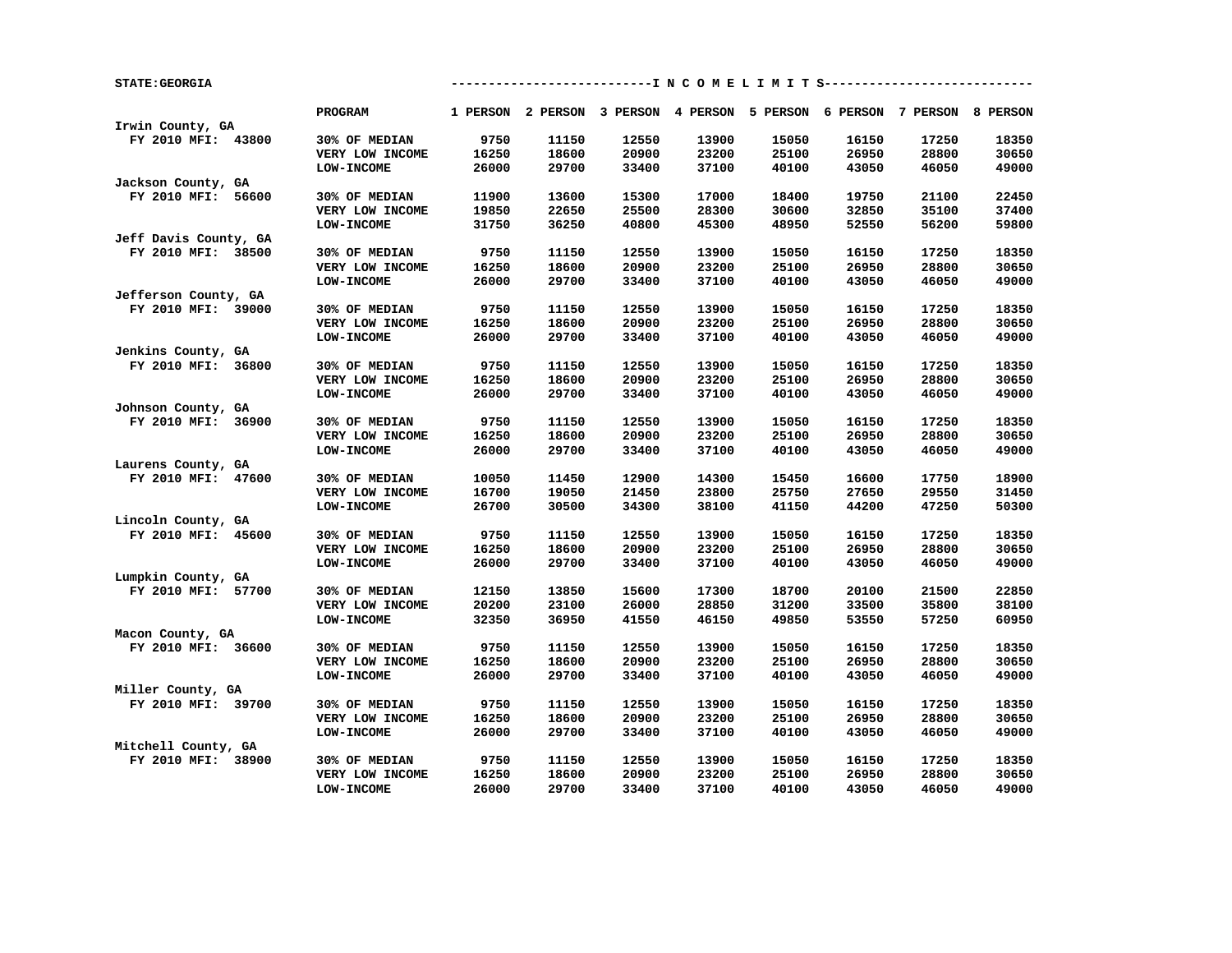| <b>PROGRAM</b><br>1 PERSON 2 PERSON 3 PERSON 4 PERSON 5 PERSON 6 PERSON 7 PERSON 8 PERSON<br>Irwin County, GA<br>FY 2010 MFI: 43800<br>30% OF MEDIAN<br>9750<br>12550<br>13900<br>15050<br>17250<br>18350<br>11150<br>16150<br>16250<br>18600<br>20900<br>23200<br>25100<br>26950<br>28800<br>30650<br>VERY LOW INCOME<br>29700<br>33400<br>37100<br>40100<br>43050<br>46050<br>49000<br><b>LOW-INCOME</b><br>26000<br>Jackson County, GA<br>FY 2010 MFI: 56600<br>13600<br>15300<br>17000<br>18400<br>22450<br>30% OF MEDIAN<br>11900<br>19750<br>21100<br>22650<br>25500<br>28300<br>32850<br>35100<br>37400<br>VERY LOW INCOME<br>19850<br>30600<br>56200<br>59800<br>31750<br>36250<br>40800<br>45300<br>48950<br>52550<br><b>LOW-INCOME</b><br>Jeff Davis County, GA<br>FY 2010 MFI: 38500<br>30% OF MEDIAN<br>9750<br>11150<br>12550<br>13900<br>15050<br>16150<br>17250<br>18350<br>16250<br>18600<br>20900<br>23200<br>25100<br>26950<br>28800<br>30650<br>VERY LOW INCOME<br>29700<br>40100<br>LOW-INCOME<br>26000<br>33400<br>37100<br>43050<br>46050<br>49000<br>Jefferson County, GA<br>FY 2010 MFI: 39000<br>30% OF MEDIAN<br>9750<br>11150<br>12550<br>13900<br>15050<br>16150<br>17250<br>18350<br>16250<br>18600<br>20900<br>23200<br>25100<br>26950<br>28800<br>30650<br>VERY LOW INCOME<br><b>LOW-INCOME</b><br>26000<br>29700<br>33400<br>37100<br>40100<br>43050<br>46050<br>49000<br>Jenkins County, GA<br>9750<br>FY 2010 MFI: 36800<br>30% OF MEDIAN<br>11150<br>12550<br>13900<br>15050<br>16150<br>17250<br>18350<br>16250<br>28800<br>VERY LOW INCOME<br>18600<br>20900<br>23200<br>25100<br>26950<br>30650<br><b>LOW-INCOME</b><br>26000<br>29700<br>33400<br>37100<br>40100<br>43050<br>46050<br>49000<br>Johnson County, GA<br>FY 2010 MFI: 36900<br>9750<br>11150<br>12550<br>13900<br>15050<br>16150<br>17250<br>18350<br>30% OF MEDIAN<br>16250<br>18600<br>20900<br>23200<br>25100<br>26950<br>28800<br>30650<br>VERY LOW INCOME<br>26000<br>29700<br>33400<br>37100<br>40100<br>43050<br>49000<br>LOW-INCOME<br>46050<br>Laurens County, GA<br>FY 2010 MFI: 47600<br>10050<br>11450<br>12900<br>14300<br>15450<br>16600<br>18900<br>30% OF MEDIAN<br>17750<br>19050<br>23800<br>25750<br>27650<br>29550<br>31450<br>VERY LOW INCOME<br>16700<br>21450<br>30500<br>44200<br>47250<br>50300<br>LOW-INCOME<br>26700<br>34300<br>38100<br>41150<br>Lincoln County, GA<br>FY 2010 MFI: 45600<br>9750<br>18350<br>30% OF MEDIAN<br>11150<br>12550<br>13900<br>15050<br>16150<br>17250<br>20900<br>23200<br>25100<br>26950<br>28800<br>VERY LOW INCOME<br>16250<br>18600<br>30650<br>26000<br>29700<br>33400<br>37100<br>40100<br>43050<br>46050<br>49000<br><b>LOW-INCOME</b><br>Lumpkin County, GA<br>22850<br>FY 2010 MFI: 57700<br>12150<br>13850<br>15600<br>17300<br>18700<br>20100<br>21500<br>30% OF MEDIAN<br>20200<br>23100<br>26000<br>28850<br>31200<br>33500<br>35800<br>38100<br>VERY LOW INCOME<br>32350<br>36950<br>41550<br>46150<br>49850<br>53550<br>57250<br>60950<br>LOW-INCOME<br>Macon County, GA<br>FY 2010 MFI: 36600<br>9750<br>13900<br>15050<br>17250<br>18350<br>30% OF MEDIAN<br>11150<br>12550<br>16150<br>16250<br>18600<br>20900<br>23200<br>25100<br>26950<br>28800<br>30650<br>VERY LOW INCOME | <b>STATE: GEORGIA</b> |  |  |  | ------------------I N C O M E L I M I T S------------------------ |  |
|--------------------------------------------------------------------------------------------------------------------------------------------------------------------------------------------------------------------------------------------------------------------------------------------------------------------------------------------------------------------------------------------------------------------------------------------------------------------------------------------------------------------------------------------------------------------------------------------------------------------------------------------------------------------------------------------------------------------------------------------------------------------------------------------------------------------------------------------------------------------------------------------------------------------------------------------------------------------------------------------------------------------------------------------------------------------------------------------------------------------------------------------------------------------------------------------------------------------------------------------------------------------------------------------------------------------------------------------------------------------------------------------------------------------------------------------------------------------------------------------------------------------------------------------------------------------------------------------------------------------------------------------------------------------------------------------------------------------------------------------------------------------------------------------------------------------------------------------------------------------------------------------------------------------------------------------------------------------------------------------------------------------------------------------------------------------------------------------------------------------------------------------------------------------------------------------------------------------------------------------------------------------------------------------------------------------------------------------------------------------------------------------------------------------------------------------------------------------------------------------------------------------------------------------------------------------------------------------------------------------------------------------------------------------------------------------------------------------------------------------------------------------------------------------------------------------------------------------------------------------------------------------------------------------------------------------------------------------------------------------------------------------------------------------------------------------------------------------------------------------------------------------------------------------------------------------------------------------------------------------------------------|-----------------------|--|--|--|-------------------------------------------------------------------|--|
|                                                                                                                                                                                                                                                                                                                                                                                                                                                                                                                                                                                                                                                                                                                                                                                                                                                                                                                                                                                                                                                                                                                                                                                                                                                                                                                                                                                                                                                                                                                                                                                                                                                                                                                                                                                                                                                                                                                                                                                                                                                                                                                                                                                                                                                                                                                                                                                                                                                                                                                                                                                                                                                                                                                                                                                                                                                                                                                                                                                                                                                                                                                                                                                                                                                              |                       |  |  |  |                                                                   |  |
|                                                                                                                                                                                                                                                                                                                                                                                                                                                                                                                                                                                                                                                                                                                                                                                                                                                                                                                                                                                                                                                                                                                                                                                                                                                                                                                                                                                                                                                                                                                                                                                                                                                                                                                                                                                                                                                                                                                                                                                                                                                                                                                                                                                                                                                                                                                                                                                                                                                                                                                                                                                                                                                                                                                                                                                                                                                                                                                                                                                                                                                                                                                                                                                                                                                              |                       |  |  |  |                                                                   |  |
|                                                                                                                                                                                                                                                                                                                                                                                                                                                                                                                                                                                                                                                                                                                                                                                                                                                                                                                                                                                                                                                                                                                                                                                                                                                                                                                                                                                                                                                                                                                                                                                                                                                                                                                                                                                                                                                                                                                                                                                                                                                                                                                                                                                                                                                                                                                                                                                                                                                                                                                                                                                                                                                                                                                                                                                                                                                                                                                                                                                                                                                                                                                                                                                                                                                              |                       |  |  |  |                                                                   |  |
|                                                                                                                                                                                                                                                                                                                                                                                                                                                                                                                                                                                                                                                                                                                                                                                                                                                                                                                                                                                                                                                                                                                                                                                                                                                                                                                                                                                                                                                                                                                                                                                                                                                                                                                                                                                                                                                                                                                                                                                                                                                                                                                                                                                                                                                                                                                                                                                                                                                                                                                                                                                                                                                                                                                                                                                                                                                                                                                                                                                                                                                                                                                                                                                                                                                              |                       |  |  |  |                                                                   |  |
|                                                                                                                                                                                                                                                                                                                                                                                                                                                                                                                                                                                                                                                                                                                                                                                                                                                                                                                                                                                                                                                                                                                                                                                                                                                                                                                                                                                                                                                                                                                                                                                                                                                                                                                                                                                                                                                                                                                                                                                                                                                                                                                                                                                                                                                                                                                                                                                                                                                                                                                                                                                                                                                                                                                                                                                                                                                                                                                                                                                                                                                                                                                                                                                                                                                              |                       |  |  |  |                                                                   |  |
|                                                                                                                                                                                                                                                                                                                                                                                                                                                                                                                                                                                                                                                                                                                                                                                                                                                                                                                                                                                                                                                                                                                                                                                                                                                                                                                                                                                                                                                                                                                                                                                                                                                                                                                                                                                                                                                                                                                                                                                                                                                                                                                                                                                                                                                                                                                                                                                                                                                                                                                                                                                                                                                                                                                                                                                                                                                                                                                                                                                                                                                                                                                                                                                                                                                              |                       |  |  |  |                                                                   |  |
|                                                                                                                                                                                                                                                                                                                                                                                                                                                                                                                                                                                                                                                                                                                                                                                                                                                                                                                                                                                                                                                                                                                                                                                                                                                                                                                                                                                                                                                                                                                                                                                                                                                                                                                                                                                                                                                                                                                                                                                                                                                                                                                                                                                                                                                                                                                                                                                                                                                                                                                                                                                                                                                                                                                                                                                                                                                                                                                                                                                                                                                                                                                                                                                                                                                              |                       |  |  |  |                                                                   |  |
|                                                                                                                                                                                                                                                                                                                                                                                                                                                                                                                                                                                                                                                                                                                                                                                                                                                                                                                                                                                                                                                                                                                                                                                                                                                                                                                                                                                                                                                                                                                                                                                                                                                                                                                                                                                                                                                                                                                                                                                                                                                                                                                                                                                                                                                                                                                                                                                                                                                                                                                                                                                                                                                                                                                                                                                                                                                                                                                                                                                                                                                                                                                                                                                                                                                              |                       |  |  |  |                                                                   |  |
|                                                                                                                                                                                                                                                                                                                                                                                                                                                                                                                                                                                                                                                                                                                                                                                                                                                                                                                                                                                                                                                                                                                                                                                                                                                                                                                                                                                                                                                                                                                                                                                                                                                                                                                                                                                                                                                                                                                                                                                                                                                                                                                                                                                                                                                                                                                                                                                                                                                                                                                                                                                                                                                                                                                                                                                                                                                                                                                                                                                                                                                                                                                                                                                                                                                              |                       |  |  |  |                                                                   |  |
|                                                                                                                                                                                                                                                                                                                                                                                                                                                                                                                                                                                                                                                                                                                                                                                                                                                                                                                                                                                                                                                                                                                                                                                                                                                                                                                                                                                                                                                                                                                                                                                                                                                                                                                                                                                                                                                                                                                                                                                                                                                                                                                                                                                                                                                                                                                                                                                                                                                                                                                                                                                                                                                                                                                                                                                                                                                                                                                                                                                                                                                                                                                                                                                                                                                              |                       |  |  |  |                                                                   |  |
|                                                                                                                                                                                                                                                                                                                                                                                                                                                                                                                                                                                                                                                                                                                                                                                                                                                                                                                                                                                                                                                                                                                                                                                                                                                                                                                                                                                                                                                                                                                                                                                                                                                                                                                                                                                                                                                                                                                                                                                                                                                                                                                                                                                                                                                                                                                                                                                                                                                                                                                                                                                                                                                                                                                                                                                                                                                                                                                                                                                                                                                                                                                                                                                                                                                              |                       |  |  |  |                                                                   |  |
|                                                                                                                                                                                                                                                                                                                                                                                                                                                                                                                                                                                                                                                                                                                                                                                                                                                                                                                                                                                                                                                                                                                                                                                                                                                                                                                                                                                                                                                                                                                                                                                                                                                                                                                                                                                                                                                                                                                                                                                                                                                                                                                                                                                                                                                                                                                                                                                                                                                                                                                                                                                                                                                                                                                                                                                                                                                                                                                                                                                                                                                                                                                                                                                                                                                              |                       |  |  |  |                                                                   |  |
|                                                                                                                                                                                                                                                                                                                                                                                                                                                                                                                                                                                                                                                                                                                                                                                                                                                                                                                                                                                                                                                                                                                                                                                                                                                                                                                                                                                                                                                                                                                                                                                                                                                                                                                                                                                                                                                                                                                                                                                                                                                                                                                                                                                                                                                                                                                                                                                                                                                                                                                                                                                                                                                                                                                                                                                                                                                                                                                                                                                                                                                                                                                                                                                                                                                              |                       |  |  |  |                                                                   |  |
|                                                                                                                                                                                                                                                                                                                                                                                                                                                                                                                                                                                                                                                                                                                                                                                                                                                                                                                                                                                                                                                                                                                                                                                                                                                                                                                                                                                                                                                                                                                                                                                                                                                                                                                                                                                                                                                                                                                                                                                                                                                                                                                                                                                                                                                                                                                                                                                                                                                                                                                                                                                                                                                                                                                                                                                                                                                                                                                                                                                                                                                                                                                                                                                                                                                              |                       |  |  |  |                                                                   |  |
|                                                                                                                                                                                                                                                                                                                                                                                                                                                                                                                                                                                                                                                                                                                                                                                                                                                                                                                                                                                                                                                                                                                                                                                                                                                                                                                                                                                                                                                                                                                                                                                                                                                                                                                                                                                                                                                                                                                                                                                                                                                                                                                                                                                                                                                                                                                                                                                                                                                                                                                                                                                                                                                                                                                                                                                                                                                                                                                                                                                                                                                                                                                                                                                                                                                              |                       |  |  |  |                                                                   |  |
|                                                                                                                                                                                                                                                                                                                                                                                                                                                                                                                                                                                                                                                                                                                                                                                                                                                                                                                                                                                                                                                                                                                                                                                                                                                                                                                                                                                                                                                                                                                                                                                                                                                                                                                                                                                                                                                                                                                                                                                                                                                                                                                                                                                                                                                                                                                                                                                                                                                                                                                                                                                                                                                                                                                                                                                                                                                                                                                                                                                                                                                                                                                                                                                                                                                              |                       |  |  |  |                                                                   |  |
|                                                                                                                                                                                                                                                                                                                                                                                                                                                                                                                                                                                                                                                                                                                                                                                                                                                                                                                                                                                                                                                                                                                                                                                                                                                                                                                                                                                                                                                                                                                                                                                                                                                                                                                                                                                                                                                                                                                                                                                                                                                                                                                                                                                                                                                                                                                                                                                                                                                                                                                                                                                                                                                                                                                                                                                                                                                                                                                                                                                                                                                                                                                                                                                                                                                              |                       |  |  |  |                                                                   |  |
|                                                                                                                                                                                                                                                                                                                                                                                                                                                                                                                                                                                                                                                                                                                                                                                                                                                                                                                                                                                                                                                                                                                                                                                                                                                                                                                                                                                                                                                                                                                                                                                                                                                                                                                                                                                                                                                                                                                                                                                                                                                                                                                                                                                                                                                                                                                                                                                                                                                                                                                                                                                                                                                                                                                                                                                                                                                                                                                                                                                                                                                                                                                                                                                                                                                              |                       |  |  |  |                                                                   |  |
|                                                                                                                                                                                                                                                                                                                                                                                                                                                                                                                                                                                                                                                                                                                                                                                                                                                                                                                                                                                                                                                                                                                                                                                                                                                                                                                                                                                                                                                                                                                                                                                                                                                                                                                                                                                                                                                                                                                                                                                                                                                                                                                                                                                                                                                                                                                                                                                                                                                                                                                                                                                                                                                                                                                                                                                                                                                                                                                                                                                                                                                                                                                                                                                                                                                              |                       |  |  |  |                                                                   |  |
|                                                                                                                                                                                                                                                                                                                                                                                                                                                                                                                                                                                                                                                                                                                                                                                                                                                                                                                                                                                                                                                                                                                                                                                                                                                                                                                                                                                                                                                                                                                                                                                                                                                                                                                                                                                                                                                                                                                                                                                                                                                                                                                                                                                                                                                                                                                                                                                                                                                                                                                                                                                                                                                                                                                                                                                                                                                                                                                                                                                                                                                                                                                                                                                                                                                              |                       |  |  |  |                                                                   |  |
|                                                                                                                                                                                                                                                                                                                                                                                                                                                                                                                                                                                                                                                                                                                                                                                                                                                                                                                                                                                                                                                                                                                                                                                                                                                                                                                                                                                                                                                                                                                                                                                                                                                                                                                                                                                                                                                                                                                                                                                                                                                                                                                                                                                                                                                                                                                                                                                                                                                                                                                                                                                                                                                                                                                                                                                                                                                                                                                                                                                                                                                                                                                                                                                                                                                              |                       |  |  |  |                                                                   |  |
|                                                                                                                                                                                                                                                                                                                                                                                                                                                                                                                                                                                                                                                                                                                                                                                                                                                                                                                                                                                                                                                                                                                                                                                                                                                                                                                                                                                                                                                                                                                                                                                                                                                                                                                                                                                                                                                                                                                                                                                                                                                                                                                                                                                                                                                                                                                                                                                                                                                                                                                                                                                                                                                                                                                                                                                                                                                                                                                                                                                                                                                                                                                                                                                                                                                              |                       |  |  |  |                                                                   |  |
|                                                                                                                                                                                                                                                                                                                                                                                                                                                                                                                                                                                                                                                                                                                                                                                                                                                                                                                                                                                                                                                                                                                                                                                                                                                                                                                                                                                                                                                                                                                                                                                                                                                                                                                                                                                                                                                                                                                                                                                                                                                                                                                                                                                                                                                                                                                                                                                                                                                                                                                                                                                                                                                                                                                                                                                                                                                                                                                                                                                                                                                                                                                                                                                                                                                              |                       |  |  |  |                                                                   |  |
|                                                                                                                                                                                                                                                                                                                                                                                                                                                                                                                                                                                                                                                                                                                                                                                                                                                                                                                                                                                                                                                                                                                                                                                                                                                                                                                                                                                                                                                                                                                                                                                                                                                                                                                                                                                                                                                                                                                                                                                                                                                                                                                                                                                                                                                                                                                                                                                                                                                                                                                                                                                                                                                                                                                                                                                                                                                                                                                                                                                                                                                                                                                                                                                                                                                              |                       |  |  |  |                                                                   |  |
|                                                                                                                                                                                                                                                                                                                                                                                                                                                                                                                                                                                                                                                                                                                                                                                                                                                                                                                                                                                                                                                                                                                                                                                                                                                                                                                                                                                                                                                                                                                                                                                                                                                                                                                                                                                                                                                                                                                                                                                                                                                                                                                                                                                                                                                                                                                                                                                                                                                                                                                                                                                                                                                                                                                                                                                                                                                                                                                                                                                                                                                                                                                                                                                                                                                              |                       |  |  |  |                                                                   |  |
|                                                                                                                                                                                                                                                                                                                                                                                                                                                                                                                                                                                                                                                                                                                                                                                                                                                                                                                                                                                                                                                                                                                                                                                                                                                                                                                                                                                                                                                                                                                                                                                                                                                                                                                                                                                                                                                                                                                                                                                                                                                                                                                                                                                                                                                                                                                                                                                                                                                                                                                                                                                                                                                                                                                                                                                                                                                                                                                                                                                                                                                                                                                                                                                                                                                              |                       |  |  |  |                                                                   |  |
|                                                                                                                                                                                                                                                                                                                                                                                                                                                                                                                                                                                                                                                                                                                                                                                                                                                                                                                                                                                                                                                                                                                                                                                                                                                                                                                                                                                                                                                                                                                                                                                                                                                                                                                                                                                                                                                                                                                                                                                                                                                                                                                                                                                                                                                                                                                                                                                                                                                                                                                                                                                                                                                                                                                                                                                                                                                                                                                                                                                                                                                                                                                                                                                                                                                              |                       |  |  |  |                                                                   |  |
|                                                                                                                                                                                                                                                                                                                                                                                                                                                                                                                                                                                                                                                                                                                                                                                                                                                                                                                                                                                                                                                                                                                                                                                                                                                                                                                                                                                                                                                                                                                                                                                                                                                                                                                                                                                                                                                                                                                                                                                                                                                                                                                                                                                                                                                                                                                                                                                                                                                                                                                                                                                                                                                                                                                                                                                                                                                                                                                                                                                                                                                                                                                                                                                                                                                              |                       |  |  |  |                                                                   |  |
|                                                                                                                                                                                                                                                                                                                                                                                                                                                                                                                                                                                                                                                                                                                                                                                                                                                                                                                                                                                                                                                                                                                                                                                                                                                                                                                                                                                                                                                                                                                                                                                                                                                                                                                                                                                                                                                                                                                                                                                                                                                                                                                                                                                                                                                                                                                                                                                                                                                                                                                                                                                                                                                                                                                                                                                                                                                                                                                                                                                                                                                                                                                                                                                                                                                              |                       |  |  |  |                                                                   |  |
|                                                                                                                                                                                                                                                                                                                                                                                                                                                                                                                                                                                                                                                                                                                                                                                                                                                                                                                                                                                                                                                                                                                                                                                                                                                                                                                                                                                                                                                                                                                                                                                                                                                                                                                                                                                                                                                                                                                                                                                                                                                                                                                                                                                                                                                                                                                                                                                                                                                                                                                                                                                                                                                                                                                                                                                                                                                                                                                                                                                                                                                                                                                                                                                                                                                              |                       |  |  |  |                                                                   |  |
|                                                                                                                                                                                                                                                                                                                                                                                                                                                                                                                                                                                                                                                                                                                                                                                                                                                                                                                                                                                                                                                                                                                                                                                                                                                                                                                                                                                                                                                                                                                                                                                                                                                                                                                                                                                                                                                                                                                                                                                                                                                                                                                                                                                                                                                                                                                                                                                                                                                                                                                                                                                                                                                                                                                                                                                                                                                                                                                                                                                                                                                                                                                                                                                                                                                              |                       |  |  |  |                                                                   |  |
|                                                                                                                                                                                                                                                                                                                                                                                                                                                                                                                                                                                                                                                                                                                                                                                                                                                                                                                                                                                                                                                                                                                                                                                                                                                                                                                                                                                                                                                                                                                                                                                                                                                                                                                                                                                                                                                                                                                                                                                                                                                                                                                                                                                                                                                                                                                                                                                                                                                                                                                                                                                                                                                                                                                                                                                                                                                                                                                                                                                                                                                                                                                                                                                                                                                              |                       |  |  |  |                                                                   |  |
|                                                                                                                                                                                                                                                                                                                                                                                                                                                                                                                                                                                                                                                                                                                                                                                                                                                                                                                                                                                                                                                                                                                                                                                                                                                                                                                                                                                                                                                                                                                                                                                                                                                                                                                                                                                                                                                                                                                                                                                                                                                                                                                                                                                                                                                                                                                                                                                                                                                                                                                                                                                                                                                                                                                                                                                                                                                                                                                                                                                                                                                                                                                                                                                                                                                              |                       |  |  |  |                                                                   |  |
|                                                                                                                                                                                                                                                                                                                                                                                                                                                                                                                                                                                                                                                                                                                                                                                                                                                                                                                                                                                                                                                                                                                                                                                                                                                                                                                                                                                                                                                                                                                                                                                                                                                                                                                                                                                                                                                                                                                                                                                                                                                                                                                                                                                                                                                                                                                                                                                                                                                                                                                                                                                                                                                                                                                                                                                                                                                                                                                                                                                                                                                                                                                                                                                                                                                              |                       |  |  |  |                                                                   |  |
|                                                                                                                                                                                                                                                                                                                                                                                                                                                                                                                                                                                                                                                                                                                                                                                                                                                                                                                                                                                                                                                                                                                                                                                                                                                                                                                                                                                                                                                                                                                                                                                                                                                                                                                                                                                                                                                                                                                                                                                                                                                                                                                                                                                                                                                                                                                                                                                                                                                                                                                                                                                                                                                                                                                                                                                                                                                                                                                                                                                                                                                                                                                                                                                                                                                              |                       |  |  |  |                                                                   |  |
|                                                                                                                                                                                                                                                                                                                                                                                                                                                                                                                                                                                                                                                                                                                                                                                                                                                                                                                                                                                                                                                                                                                                                                                                                                                                                                                                                                                                                                                                                                                                                                                                                                                                                                                                                                                                                                                                                                                                                                                                                                                                                                                                                                                                                                                                                                                                                                                                                                                                                                                                                                                                                                                                                                                                                                                                                                                                                                                                                                                                                                                                                                                                                                                                                                                              |                       |  |  |  |                                                                   |  |
|                                                                                                                                                                                                                                                                                                                                                                                                                                                                                                                                                                                                                                                                                                                                                                                                                                                                                                                                                                                                                                                                                                                                                                                                                                                                                                                                                                                                                                                                                                                                                                                                                                                                                                                                                                                                                                                                                                                                                                                                                                                                                                                                                                                                                                                                                                                                                                                                                                                                                                                                                                                                                                                                                                                                                                                                                                                                                                                                                                                                                                                                                                                                                                                                                                                              |                       |  |  |  |                                                                   |  |
|                                                                                                                                                                                                                                                                                                                                                                                                                                                                                                                                                                                                                                                                                                                                                                                                                                                                                                                                                                                                                                                                                                                                                                                                                                                                                                                                                                                                                                                                                                                                                                                                                                                                                                                                                                                                                                                                                                                                                                                                                                                                                                                                                                                                                                                                                                                                                                                                                                                                                                                                                                                                                                                                                                                                                                                                                                                                                                                                                                                                                                                                                                                                                                                                                                                              |                       |  |  |  |                                                                   |  |
|                                                                                                                                                                                                                                                                                                                                                                                                                                                                                                                                                                                                                                                                                                                                                                                                                                                                                                                                                                                                                                                                                                                                                                                                                                                                                                                                                                                                                                                                                                                                                                                                                                                                                                                                                                                                                                                                                                                                                                                                                                                                                                                                                                                                                                                                                                                                                                                                                                                                                                                                                                                                                                                                                                                                                                                                                                                                                                                                                                                                                                                                                                                                                                                                                                                              |                       |  |  |  |                                                                   |  |
| 29700<br>37100<br>40100<br>43050<br>46050<br>49000<br>LOW-INCOME<br>26000<br>33400                                                                                                                                                                                                                                                                                                                                                                                                                                                                                                                                                                                                                                                                                                                                                                                                                                                                                                                                                                                                                                                                                                                                                                                                                                                                                                                                                                                                                                                                                                                                                                                                                                                                                                                                                                                                                                                                                                                                                                                                                                                                                                                                                                                                                                                                                                                                                                                                                                                                                                                                                                                                                                                                                                                                                                                                                                                                                                                                                                                                                                                                                                                                                                           |                       |  |  |  |                                                                   |  |
| Miller County, GA                                                                                                                                                                                                                                                                                                                                                                                                                                                                                                                                                                                                                                                                                                                                                                                                                                                                                                                                                                                                                                                                                                                                                                                                                                                                                                                                                                                                                                                                                                                                                                                                                                                                                                                                                                                                                                                                                                                                                                                                                                                                                                                                                                                                                                                                                                                                                                                                                                                                                                                                                                                                                                                                                                                                                                                                                                                                                                                                                                                                                                                                                                                                                                                                                                            |                       |  |  |  |                                                                   |  |
| FY 2010 MFI: 39700<br>30% OF MEDIAN<br>9750<br>11150<br>12550<br>13900<br>15050<br>16150<br>17250<br>18350                                                                                                                                                                                                                                                                                                                                                                                                                                                                                                                                                                                                                                                                                                                                                                                                                                                                                                                                                                                                                                                                                                                                                                                                                                                                                                                                                                                                                                                                                                                                                                                                                                                                                                                                                                                                                                                                                                                                                                                                                                                                                                                                                                                                                                                                                                                                                                                                                                                                                                                                                                                                                                                                                                                                                                                                                                                                                                                                                                                                                                                                                                                                                   |                       |  |  |  |                                                                   |  |
| VERY LOW INCOME<br>16250<br>18600<br>20900<br>23200<br>25100<br>26950<br>28800<br>30650                                                                                                                                                                                                                                                                                                                                                                                                                                                                                                                                                                                                                                                                                                                                                                                                                                                                                                                                                                                                                                                                                                                                                                                                                                                                                                                                                                                                                                                                                                                                                                                                                                                                                                                                                                                                                                                                                                                                                                                                                                                                                                                                                                                                                                                                                                                                                                                                                                                                                                                                                                                                                                                                                                                                                                                                                                                                                                                                                                                                                                                                                                                                                                      |                       |  |  |  |                                                                   |  |
| 49000<br><b>LOW-INCOME</b><br>26000<br>29700<br>33400<br>37100<br>40100<br>43050<br>46050                                                                                                                                                                                                                                                                                                                                                                                                                                                                                                                                                                                                                                                                                                                                                                                                                                                                                                                                                                                                                                                                                                                                                                                                                                                                                                                                                                                                                                                                                                                                                                                                                                                                                                                                                                                                                                                                                                                                                                                                                                                                                                                                                                                                                                                                                                                                                                                                                                                                                                                                                                                                                                                                                                                                                                                                                                                                                                                                                                                                                                                                                                                                                                    |                       |  |  |  |                                                                   |  |
| Mitchell County, GA                                                                                                                                                                                                                                                                                                                                                                                                                                                                                                                                                                                                                                                                                                                                                                                                                                                                                                                                                                                                                                                                                                                                                                                                                                                                                                                                                                                                                                                                                                                                                                                                                                                                                                                                                                                                                                                                                                                                                                                                                                                                                                                                                                                                                                                                                                                                                                                                                                                                                                                                                                                                                                                                                                                                                                                                                                                                                                                                                                                                                                                                                                                                                                                                                                          |                       |  |  |  |                                                                   |  |
| FY 2010 MFI: 38900<br>9750<br>11150<br>12550<br>13900<br>15050<br>16150<br>17250<br>18350<br>30% OF MEDIAN                                                                                                                                                                                                                                                                                                                                                                                                                                                                                                                                                                                                                                                                                                                                                                                                                                                                                                                                                                                                                                                                                                                                                                                                                                                                                                                                                                                                                                                                                                                                                                                                                                                                                                                                                                                                                                                                                                                                                                                                                                                                                                                                                                                                                                                                                                                                                                                                                                                                                                                                                                                                                                                                                                                                                                                                                                                                                                                                                                                                                                                                                                                                                   |                       |  |  |  |                                                                   |  |
| 16250<br>18600<br>20900<br>23200<br>25100<br>26950<br>28800<br>30650<br>VERY LOW INCOME                                                                                                                                                                                                                                                                                                                                                                                                                                                                                                                                                                                                                                                                                                                                                                                                                                                                                                                                                                                                                                                                                                                                                                                                                                                                                                                                                                                                                                                                                                                                                                                                                                                                                                                                                                                                                                                                                                                                                                                                                                                                                                                                                                                                                                                                                                                                                                                                                                                                                                                                                                                                                                                                                                                                                                                                                                                                                                                                                                                                                                                                                                                                                                      |                       |  |  |  |                                                                   |  |
| 26000<br>29700<br>33400<br>37100<br>40100<br>43050<br>46050<br>49000<br><b>LOW-INCOME</b>                                                                                                                                                                                                                                                                                                                                                                                                                                                                                                                                                                                                                                                                                                                                                                                                                                                                                                                                                                                                                                                                                                                                                                                                                                                                                                                                                                                                                                                                                                                                                                                                                                                                                                                                                                                                                                                                                                                                                                                                                                                                                                                                                                                                                                                                                                                                                                                                                                                                                                                                                                                                                                                                                                                                                                                                                                                                                                                                                                                                                                                                                                                                                                    |                       |  |  |  |                                                                   |  |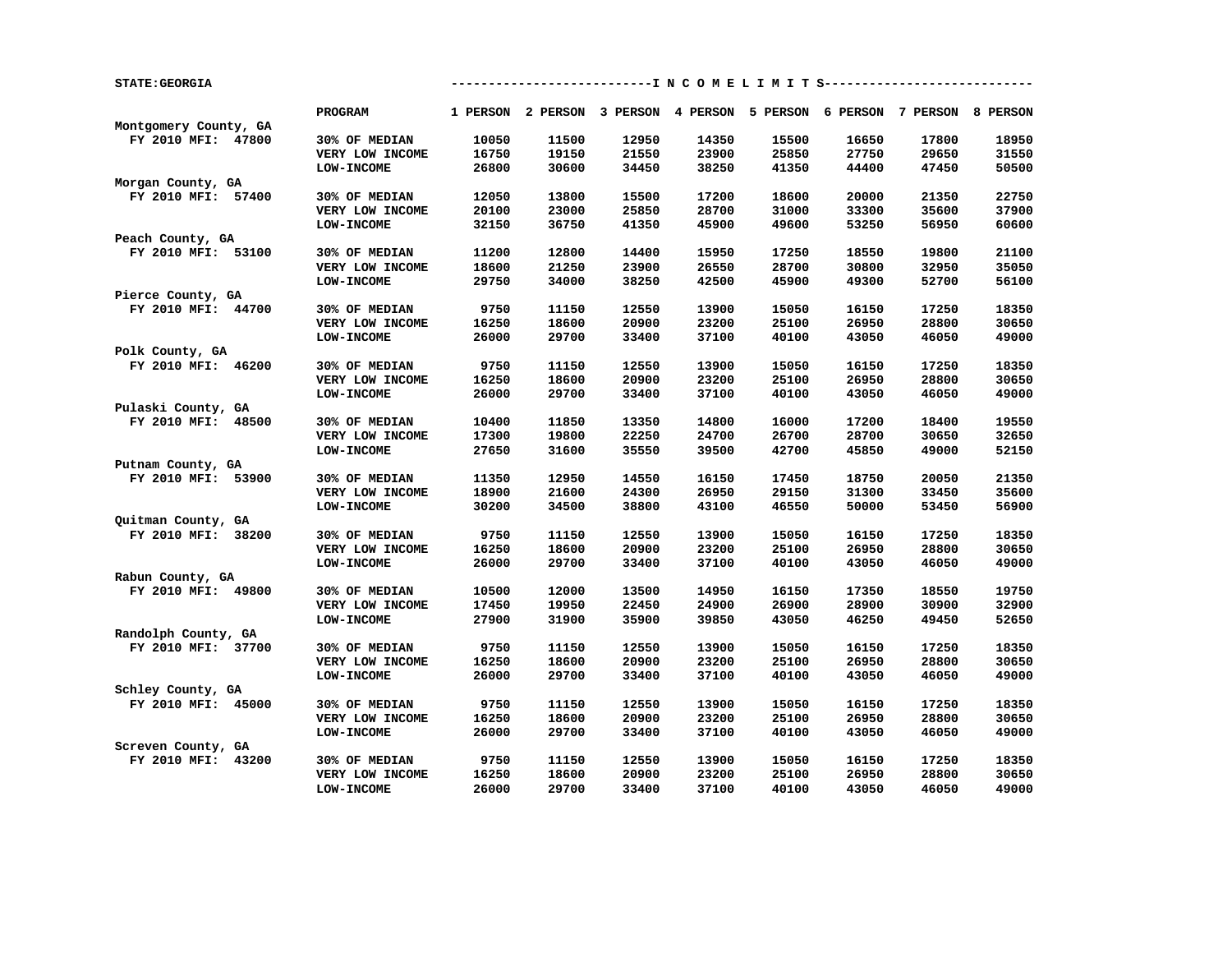| 1 PERSON 2 PERSON 3 PERSON 4 PERSON 5 PERSON 6 PERSON 7 PERSON 8 PERSON<br><b>PROGRAM</b><br>Montgomery County, GA<br>FY 2010 MFI: 47800<br>18950<br>30% OF MEDIAN<br>10050<br>11500<br>12950<br>14350<br>15500<br>16650<br>17800<br>16750<br>19150<br>21550<br>23900<br>25850<br>27750<br>29650<br>31550<br>VERY LOW INCOME<br>30600<br>34450<br>38250<br>41350<br>44400<br>47450<br>50500<br>LOW-INCOME<br>26800<br>Morgan County, GA<br>22750<br>FY 2010 MFI: 57400<br>30% OF MEDIAN<br>12050<br>13800<br>15500<br>17200<br>18600<br>20000<br>21350<br>20100<br>23000<br>25850<br>28700<br>31000<br>33300<br>35600<br>37900<br>VERY LOW INCOME<br><b>LOW-INCOME</b><br>32150<br>36750<br>41350<br>45900<br>49600<br>53250<br>56950<br>60600<br>Peach County, GA<br>FY 2010 MFI: 53100<br>21100<br>30% OF MEDIAN<br>11200<br>12800<br>14400<br>15950<br>17250<br>18550<br>19800<br>VERY LOW INCOME<br>18600<br>21250<br>23900<br>26550<br>28700<br>30800<br>32950<br>35050<br>34000<br>42500<br>45900<br>52700<br>56100<br><b>LOW-INCOME</b><br>29750<br>38250<br>49300<br>Pierce County, GA<br>FY 2010 MFI: 44700<br>30% OF MEDIAN<br>9750<br>11150<br>12550<br>13900<br>15050<br>16150<br>17250<br>18350<br>16250<br>18600<br>20900<br>23200<br>25100<br>26950<br>28800<br>30650<br>VERY LOW INCOME<br>26000<br>29700<br>33400<br>37100<br>40100<br>43050<br>46050<br>49000<br>LOW-INCOME<br>Polk County, GA<br>FY 2010 MFI: 46200<br>30% OF MEDIAN<br>9750<br>11150<br>12550<br>13900<br>15050<br>16150<br>17250<br>18350<br>16250<br>18600<br>20900<br>23200<br>25100<br>26950<br>28800<br>30650<br>VERY LOW INCOME<br>26000<br>29700<br>33400<br>37100<br>40100<br>43050<br>46050<br>49000<br><b>LOW-INCOME</b><br>Pulaski County, GA<br>10400<br>13350<br>14800<br>16000<br>17200<br>19550<br>FY 2010 MFI: 48500<br>30% OF MEDIAN<br>11850<br>18400<br>17300<br>19800<br>22250<br>24700<br>26700<br>28700<br>30650<br>32650<br>VERY LOW INCOME<br>LOW-INCOME<br>27650<br>31600<br>35550<br>39500<br>42700<br>45850<br>49000<br>52150<br>Putnam County, GA<br>21350<br>FY 2010 MFI: 53900<br>30% OF MEDIAN<br>11350<br>12950<br>14550<br>16150<br>17450<br>18750<br>20050<br>18900<br>21600<br>24300<br>26950<br>29150<br>31300<br>33450<br>35600<br>VERY LOW INCOME<br>LOW-INCOME<br>30200<br>34500<br>38800<br>43100<br>46550<br>50000<br>53450<br>56900<br>Quitman County, GA<br>9750<br>18350<br>FY 2010 MFI: 38200<br>30% OF MEDIAN<br>11150<br>12550<br>13900<br>15050<br>16150<br>17250<br>VERY LOW INCOME<br>16250<br>18600<br>20900<br>23200<br>25100<br>26950<br>28800<br>30650<br><b>LOW-INCOME</b><br>26000<br>29700<br>33400<br>37100<br>40100<br>43050<br>46050<br>49000<br>Rabun County, GA<br>FY 2010 MFI: 49800<br>10500<br>12000<br>13500<br>14950<br>16150<br>17350<br>18550<br>19750<br>30% OF MEDIAN<br>VERY LOW INCOME<br>17450<br>19950<br>22450<br>24900<br>26900<br>28900<br>30900<br>32900<br>27900<br>31900<br>35900<br>39850<br>43050<br>46250<br>49450<br>52650<br><b>LOW-INCOME</b><br>Randolph County, GA<br>9750<br>FY 2010 MFI: 37700<br>30% OF MEDIAN<br>11150<br>12550<br>13900<br>15050<br>16150<br>17250<br>18350<br>VERY LOW INCOME<br>16250<br>18600<br>20900<br>23200<br>25100<br>26950<br>28800<br>30650<br>37100<br>49000<br><b>LOW-INCOME</b><br>26000<br>29700<br>33400<br>40100<br>43050<br>46050<br>Schley County, GA<br>9750<br>18350<br>FY 2010 MFI: 45000<br>30% OF MEDIAN<br>11150<br>12550<br>13900<br>15050<br>16150<br>17250<br>16250<br>18600<br>20900<br>23200<br>25100<br>26950<br>28800<br>30650<br>VERY LOW INCOME<br>49000<br><b>LOW-INCOME</b><br>26000<br>29700<br>33400<br>37100<br>40100<br>43050<br>46050<br>Screven County, GA<br>FY 2010 MFI: 43200<br>9750<br>11150<br>12550<br>13900<br>15050<br>16150<br>17250<br>18350<br>30% OF MEDIAN<br>16250<br>18600<br>20900<br>23200<br>25100<br>26950<br>28800<br>30650<br>VERY LOW INCOME<br>LOW-INCOME<br>26000<br>29700<br>33400<br>37100<br>40100<br>43050<br>46050<br>49000 | <b>STATE: GEORGIA</b> |  |  |  | ----------I N C O M E L I M I T S---------- |  |
|-------------------------------------------------------------------------------------------------------------------------------------------------------------------------------------------------------------------------------------------------------------------------------------------------------------------------------------------------------------------------------------------------------------------------------------------------------------------------------------------------------------------------------------------------------------------------------------------------------------------------------------------------------------------------------------------------------------------------------------------------------------------------------------------------------------------------------------------------------------------------------------------------------------------------------------------------------------------------------------------------------------------------------------------------------------------------------------------------------------------------------------------------------------------------------------------------------------------------------------------------------------------------------------------------------------------------------------------------------------------------------------------------------------------------------------------------------------------------------------------------------------------------------------------------------------------------------------------------------------------------------------------------------------------------------------------------------------------------------------------------------------------------------------------------------------------------------------------------------------------------------------------------------------------------------------------------------------------------------------------------------------------------------------------------------------------------------------------------------------------------------------------------------------------------------------------------------------------------------------------------------------------------------------------------------------------------------------------------------------------------------------------------------------------------------------------------------------------------------------------------------------------------------------------------------------------------------------------------------------------------------------------------------------------------------------------------------------------------------------------------------------------------------------------------------------------------------------------------------------------------------------------------------------------------------------------------------------------------------------------------------------------------------------------------------------------------------------------------------------------------------------------------------------------------------------------------------------------------------------------------------------------------------------------------------------------------------------------------------------------------------------------------------------------------------------------------------------------------------------------------------------------------------------------------------------------------------------------------------------------------------------------------------------------------------------------------------------------------------------------------------------------------------------------------------------------------------------------------------------------------------------------------------------------------------------------------------------------------------------------------------|-----------------------|--|--|--|---------------------------------------------|--|
|                                                                                                                                                                                                                                                                                                                                                                                                                                                                                                                                                                                                                                                                                                                                                                                                                                                                                                                                                                                                                                                                                                                                                                                                                                                                                                                                                                                                                                                                                                                                                                                                                                                                                                                                                                                                                                                                                                                                                                                                                                                                                                                                                                                                                                                                                                                                                                                                                                                                                                                                                                                                                                                                                                                                                                                                                                                                                                                                                                                                                                                                                                                                                                                                                                                                                                                                                                                                                                                                                                                                                                                                                                                                                                                                                                                                                                                                                                                                                                                                       |                       |  |  |  |                                             |  |
|                                                                                                                                                                                                                                                                                                                                                                                                                                                                                                                                                                                                                                                                                                                                                                                                                                                                                                                                                                                                                                                                                                                                                                                                                                                                                                                                                                                                                                                                                                                                                                                                                                                                                                                                                                                                                                                                                                                                                                                                                                                                                                                                                                                                                                                                                                                                                                                                                                                                                                                                                                                                                                                                                                                                                                                                                                                                                                                                                                                                                                                                                                                                                                                                                                                                                                                                                                                                                                                                                                                                                                                                                                                                                                                                                                                                                                                                                                                                                                                                       |                       |  |  |  |                                             |  |
|                                                                                                                                                                                                                                                                                                                                                                                                                                                                                                                                                                                                                                                                                                                                                                                                                                                                                                                                                                                                                                                                                                                                                                                                                                                                                                                                                                                                                                                                                                                                                                                                                                                                                                                                                                                                                                                                                                                                                                                                                                                                                                                                                                                                                                                                                                                                                                                                                                                                                                                                                                                                                                                                                                                                                                                                                                                                                                                                                                                                                                                                                                                                                                                                                                                                                                                                                                                                                                                                                                                                                                                                                                                                                                                                                                                                                                                                                                                                                                                                       |                       |  |  |  |                                             |  |
|                                                                                                                                                                                                                                                                                                                                                                                                                                                                                                                                                                                                                                                                                                                                                                                                                                                                                                                                                                                                                                                                                                                                                                                                                                                                                                                                                                                                                                                                                                                                                                                                                                                                                                                                                                                                                                                                                                                                                                                                                                                                                                                                                                                                                                                                                                                                                                                                                                                                                                                                                                                                                                                                                                                                                                                                                                                                                                                                                                                                                                                                                                                                                                                                                                                                                                                                                                                                                                                                                                                                                                                                                                                                                                                                                                                                                                                                                                                                                                                                       |                       |  |  |  |                                             |  |
|                                                                                                                                                                                                                                                                                                                                                                                                                                                                                                                                                                                                                                                                                                                                                                                                                                                                                                                                                                                                                                                                                                                                                                                                                                                                                                                                                                                                                                                                                                                                                                                                                                                                                                                                                                                                                                                                                                                                                                                                                                                                                                                                                                                                                                                                                                                                                                                                                                                                                                                                                                                                                                                                                                                                                                                                                                                                                                                                                                                                                                                                                                                                                                                                                                                                                                                                                                                                                                                                                                                                                                                                                                                                                                                                                                                                                                                                                                                                                                                                       |                       |  |  |  |                                             |  |
|                                                                                                                                                                                                                                                                                                                                                                                                                                                                                                                                                                                                                                                                                                                                                                                                                                                                                                                                                                                                                                                                                                                                                                                                                                                                                                                                                                                                                                                                                                                                                                                                                                                                                                                                                                                                                                                                                                                                                                                                                                                                                                                                                                                                                                                                                                                                                                                                                                                                                                                                                                                                                                                                                                                                                                                                                                                                                                                                                                                                                                                                                                                                                                                                                                                                                                                                                                                                                                                                                                                                                                                                                                                                                                                                                                                                                                                                                                                                                                                                       |                       |  |  |  |                                             |  |
|                                                                                                                                                                                                                                                                                                                                                                                                                                                                                                                                                                                                                                                                                                                                                                                                                                                                                                                                                                                                                                                                                                                                                                                                                                                                                                                                                                                                                                                                                                                                                                                                                                                                                                                                                                                                                                                                                                                                                                                                                                                                                                                                                                                                                                                                                                                                                                                                                                                                                                                                                                                                                                                                                                                                                                                                                                                                                                                                                                                                                                                                                                                                                                                                                                                                                                                                                                                                                                                                                                                                                                                                                                                                                                                                                                                                                                                                                                                                                                                                       |                       |  |  |  |                                             |  |
|                                                                                                                                                                                                                                                                                                                                                                                                                                                                                                                                                                                                                                                                                                                                                                                                                                                                                                                                                                                                                                                                                                                                                                                                                                                                                                                                                                                                                                                                                                                                                                                                                                                                                                                                                                                                                                                                                                                                                                                                                                                                                                                                                                                                                                                                                                                                                                                                                                                                                                                                                                                                                                                                                                                                                                                                                                                                                                                                                                                                                                                                                                                                                                                                                                                                                                                                                                                                                                                                                                                                                                                                                                                                                                                                                                                                                                                                                                                                                                                                       |                       |  |  |  |                                             |  |
|                                                                                                                                                                                                                                                                                                                                                                                                                                                                                                                                                                                                                                                                                                                                                                                                                                                                                                                                                                                                                                                                                                                                                                                                                                                                                                                                                                                                                                                                                                                                                                                                                                                                                                                                                                                                                                                                                                                                                                                                                                                                                                                                                                                                                                                                                                                                                                                                                                                                                                                                                                                                                                                                                                                                                                                                                                                                                                                                                                                                                                                                                                                                                                                                                                                                                                                                                                                                                                                                                                                                                                                                                                                                                                                                                                                                                                                                                                                                                                                                       |                       |  |  |  |                                             |  |
|                                                                                                                                                                                                                                                                                                                                                                                                                                                                                                                                                                                                                                                                                                                                                                                                                                                                                                                                                                                                                                                                                                                                                                                                                                                                                                                                                                                                                                                                                                                                                                                                                                                                                                                                                                                                                                                                                                                                                                                                                                                                                                                                                                                                                                                                                                                                                                                                                                                                                                                                                                                                                                                                                                                                                                                                                                                                                                                                                                                                                                                                                                                                                                                                                                                                                                                                                                                                                                                                                                                                                                                                                                                                                                                                                                                                                                                                                                                                                                                                       |                       |  |  |  |                                             |  |
|                                                                                                                                                                                                                                                                                                                                                                                                                                                                                                                                                                                                                                                                                                                                                                                                                                                                                                                                                                                                                                                                                                                                                                                                                                                                                                                                                                                                                                                                                                                                                                                                                                                                                                                                                                                                                                                                                                                                                                                                                                                                                                                                                                                                                                                                                                                                                                                                                                                                                                                                                                                                                                                                                                                                                                                                                                                                                                                                                                                                                                                                                                                                                                                                                                                                                                                                                                                                                                                                                                                                                                                                                                                                                                                                                                                                                                                                                                                                                                                                       |                       |  |  |  |                                             |  |
|                                                                                                                                                                                                                                                                                                                                                                                                                                                                                                                                                                                                                                                                                                                                                                                                                                                                                                                                                                                                                                                                                                                                                                                                                                                                                                                                                                                                                                                                                                                                                                                                                                                                                                                                                                                                                                                                                                                                                                                                                                                                                                                                                                                                                                                                                                                                                                                                                                                                                                                                                                                                                                                                                                                                                                                                                                                                                                                                                                                                                                                                                                                                                                                                                                                                                                                                                                                                                                                                                                                                                                                                                                                                                                                                                                                                                                                                                                                                                                                                       |                       |  |  |  |                                             |  |
|                                                                                                                                                                                                                                                                                                                                                                                                                                                                                                                                                                                                                                                                                                                                                                                                                                                                                                                                                                                                                                                                                                                                                                                                                                                                                                                                                                                                                                                                                                                                                                                                                                                                                                                                                                                                                                                                                                                                                                                                                                                                                                                                                                                                                                                                                                                                                                                                                                                                                                                                                                                                                                                                                                                                                                                                                                                                                                                                                                                                                                                                                                                                                                                                                                                                                                                                                                                                                                                                                                                                                                                                                                                                                                                                                                                                                                                                                                                                                                                                       |                       |  |  |  |                                             |  |
|                                                                                                                                                                                                                                                                                                                                                                                                                                                                                                                                                                                                                                                                                                                                                                                                                                                                                                                                                                                                                                                                                                                                                                                                                                                                                                                                                                                                                                                                                                                                                                                                                                                                                                                                                                                                                                                                                                                                                                                                                                                                                                                                                                                                                                                                                                                                                                                                                                                                                                                                                                                                                                                                                                                                                                                                                                                                                                                                                                                                                                                                                                                                                                                                                                                                                                                                                                                                                                                                                                                                                                                                                                                                                                                                                                                                                                                                                                                                                                                                       |                       |  |  |  |                                             |  |
|                                                                                                                                                                                                                                                                                                                                                                                                                                                                                                                                                                                                                                                                                                                                                                                                                                                                                                                                                                                                                                                                                                                                                                                                                                                                                                                                                                                                                                                                                                                                                                                                                                                                                                                                                                                                                                                                                                                                                                                                                                                                                                                                                                                                                                                                                                                                                                                                                                                                                                                                                                                                                                                                                                                                                                                                                                                                                                                                                                                                                                                                                                                                                                                                                                                                                                                                                                                                                                                                                                                                                                                                                                                                                                                                                                                                                                                                                                                                                                                                       |                       |  |  |  |                                             |  |
|                                                                                                                                                                                                                                                                                                                                                                                                                                                                                                                                                                                                                                                                                                                                                                                                                                                                                                                                                                                                                                                                                                                                                                                                                                                                                                                                                                                                                                                                                                                                                                                                                                                                                                                                                                                                                                                                                                                                                                                                                                                                                                                                                                                                                                                                                                                                                                                                                                                                                                                                                                                                                                                                                                                                                                                                                                                                                                                                                                                                                                                                                                                                                                                                                                                                                                                                                                                                                                                                                                                                                                                                                                                                                                                                                                                                                                                                                                                                                                                                       |                       |  |  |  |                                             |  |
|                                                                                                                                                                                                                                                                                                                                                                                                                                                                                                                                                                                                                                                                                                                                                                                                                                                                                                                                                                                                                                                                                                                                                                                                                                                                                                                                                                                                                                                                                                                                                                                                                                                                                                                                                                                                                                                                                                                                                                                                                                                                                                                                                                                                                                                                                                                                                                                                                                                                                                                                                                                                                                                                                                                                                                                                                                                                                                                                                                                                                                                                                                                                                                                                                                                                                                                                                                                                                                                                                                                                                                                                                                                                                                                                                                                                                                                                                                                                                                                                       |                       |  |  |  |                                             |  |
|                                                                                                                                                                                                                                                                                                                                                                                                                                                                                                                                                                                                                                                                                                                                                                                                                                                                                                                                                                                                                                                                                                                                                                                                                                                                                                                                                                                                                                                                                                                                                                                                                                                                                                                                                                                                                                                                                                                                                                                                                                                                                                                                                                                                                                                                                                                                                                                                                                                                                                                                                                                                                                                                                                                                                                                                                                                                                                                                                                                                                                                                                                                                                                                                                                                                                                                                                                                                                                                                                                                                                                                                                                                                                                                                                                                                                                                                                                                                                                                                       |                       |  |  |  |                                             |  |
|                                                                                                                                                                                                                                                                                                                                                                                                                                                                                                                                                                                                                                                                                                                                                                                                                                                                                                                                                                                                                                                                                                                                                                                                                                                                                                                                                                                                                                                                                                                                                                                                                                                                                                                                                                                                                                                                                                                                                                                                                                                                                                                                                                                                                                                                                                                                                                                                                                                                                                                                                                                                                                                                                                                                                                                                                                                                                                                                                                                                                                                                                                                                                                                                                                                                                                                                                                                                                                                                                                                                                                                                                                                                                                                                                                                                                                                                                                                                                                                                       |                       |  |  |  |                                             |  |
|                                                                                                                                                                                                                                                                                                                                                                                                                                                                                                                                                                                                                                                                                                                                                                                                                                                                                                                                                                                                                                                                                                                                                                                                                                                                                                                                                                                                                                                                                                                                                                                                                                                                                                                                                                                                                                                                                                                                                                                                                                                                                                                                                                                                                                                                                                                                                                                                                                                                                                                                                                                                                                                                                                                                                                                                                                                                                                                                                                                                                                                                                                                                                                                                                                                                                                                                                                                                                                                                                                                                                                                                                                                                                                                                                                                                                                                                                                                                                                                                       |                       |  |  |  |                                             |  |
|                                                                                                                                                                                                                                                                                                                                                                                                                                                                                                                                                                                                                                                                                                                                                                                                                                                                                                                                                                                                                                                                                                                                                                                                                                                                                                                                                                                                                                                                                                                                                                                                                                                                                                                                                                                                                                                                                                                                                                                                                                                                                                                                                                                                                                                                                                                                                                                                                                                                                                                                                                                                                                                                                                                                                                                                                                                                                                                                                                                                                                                                                                                                                                                                                                                                                                                                                                                                                                                                                                                                                                                                                                                                                                                                                                                                                                                                                                                                                                                                       |                       |  |  |  |                                             |  |
|                                                                                                                                                                                                                                                                                                                                                                                                                                                                                                                                                                                                                                                                                                                                                                                                                                                                                                                                                                                                                                                                                                                                                                                                                                                                                                                                                                                                                                                                                                                                                                                                                                                                                                                                                                                                                                                                                                                                                                                                                                                                                                                                                                                                                                                                                                                                                                                                                                                                                                                                                                                                                                                                                                                                                                                                                                                                                                                                                                                                                                                                                                                                                                                                                                                                                                                                                                                                                                                                                                                                                                                                                                                                                                                                                                                                                                                                                                                                                                                                       |                       |  |  |  |                                             |  |
|                                                                                                                                                                                                                                                                                                                                                                                                                                                                                                                                                                                                                                                                                                                                                                                                                                                                                                                                                                                                                                                                                                                                                                                                                                                                                                                                                                                                                                                                                                                                                                                                                                                                                                                                                                                                                                                                                                                                                                                                                                                                                                                                                                                                                                                                                                                                                                                                                                                                                                                                                                                                                                                                                                                                                                                                                                                                                                                                                                                                                                                                                                                                                                                                                                                                                                                                                                                                                                                                                                                                                                                                                                                                                                                                                                                                                                                                                                                                                                                                       |                       |  |  |  |                                             |  |
|                                                                                                                                                                                                                                                                                                                                                                                                                                                                                                                                                                                                                                                                                                                                                                                                                                                                                                                                                                                                                                                                                                                                                                                                                                                                                                                                                                                                                                                                                                                                                                                                                                                                                                                                                                                                                                                                                                                                                                                                                                                                                                                                                                                                                                                                                                                                                                                                                                                                                                                                                                                                                                                                                                                                                                                                                                                                                                                                                                                                                                                                                                                                                                                                                                                                                                                                                                                                                                                                                                                                                                                                                                                                                                                                                                                                                                                                                                                                                                                                       |                       |  |  |  |                                             |  |
|                                                                                                                                                                                                                                                                                                                                                                                                                                                                                                                                                                                                                                                                                                                                                                                                                                                                                                                                                                                                                                                                                                                                                                                                                                                                                                                                                                                                                                                                                                                                                                                                                                                                                                                                                                                                                                                                                                                                                                                                                                                                                                                                                                                                                                                                                                                                                                                                                                                                                                                                                                                                                                                                                                                                                                                                                                                                                                                                                                                                                                                                                                                                                                                                                                                                                                                                                                                                                                                                                                                                                                                                                                                                                                                                                                                                                                                                                                                                                                                                       |                       |  |  |  |                                             |  |
|                                                                                                                                                                                                                                                                                                                                                                                                                                                                                                                                                                                                                                                                                                                                                                                                                                                                                                                                                                                                                                                                                                                                                                                                                                                                                                                                                                                                                                                                                                                                                                                                                                                                                                                                                                                                                                                                                                                                                                                                                                                                                                                                                                                                                                                                                                                                                                                                                                                                                                                                                                                                                                                                                                                                                                                                                                                                                                                                                                                                                                                                                                                                                                                                                                                                                                                                                                                                                                                                                                                                                                                                                                                                                                                                                                                                                                                                                                                                                                                                       |                       |  |  |  |                                             |  |
|                                                                                                                                                                                                                                                                                                                                                                                                                                                                                                                                                                                                                                                                                                                                                                                                                                                                                                                                                                                                                                                                                                                                                                                                                                                                                                                                                                                                                                                                                                                                                                                                                                                                                                                                                                                                                                                                                                                                                                                                                                                                                                                                                                                                                                                                                                                                                                                                                                                                                                                                                                                                                                                                                                                                                                                                                                                                                                                                                                                                                                                                                                                                                                                                                                                                                                                                                                                                                                                                                                                                                                                                                                                                                                                                                                                                                                                                                                                                                                                                       |                       |  |  |  |                                             |  |
|                                                                                                                                                                                                                                                                                                                                                                                                                                                                                                                                                                                                                                                                                                                                                                                                                                                                                                                                                                                                                                                                                                                                                                                                                                                                                                                                                                                                                                                                                                                                                                                                                                                                                                                                                                                                                                                                                                                                                                                                                                                                                                                                                                                                                                                                                                                                                                                                                                                                                                                                                                                                                                                                                                                                                                                                                                                                                                                                                                                                                                                                                                                                                                                                                                                                                                                                                                                                                                                                                                                                                                                                                                                                                                                                                                                                                                                                                                                                                                                                       |                       |  |  |  |                                             |  |
|                                                                                                                                                                                                                                                                                                                                                                                                                                                                                                                                                                                                                                                                                                                                                                                                                                                                                                                                                                                                                                                                                                                                                                                                                                                                                                                                                                                                                                                                                                                                                                                                                                                                                                                                                                                                                                                                                                                                                                                                                                                                                                                                                                                                                                                                                                                                                                                                                                                                                                                                                                                                                                                                                                                                                                                                                                                                                                                                                                                                                                                                                                                                                                                                                                                                                                                                                                                                                                                                                                                                                                                                                                                                                                                                                                                                                                                                                                                                                                                                       |                       |  |  |  |                                             |  |
|                                                                                                                                                                                                                                                                                                                                                                                                                                                                                                                                                                                                                                                                                                                                                                                                                                                                                                                                                                                                                                                                                                                                                                                                                                                                                                                                                                                                                                                                                                                                                                                                                                                                                                                                                                                                                                                                                                                                                                                                                                                                                                                                                                                                                                                                                                                                                                                                                                                                                                                                                                                                                                                                                                                                                                                                                                                                                                                                                                                                                                                                                                                                                                                                                                                                                                                                                                                                                                                                                                                                                                                                                                                                                                                                                                                                                                                                                                                                                                                                       |                       |  |  |  |                                             |  |
|                                                                                                                                                                                                                                                                                                                                                                                                                                                                                                                                                                                                                                                                                                                                                                                                                                                                                                                                                                                                                                                                                                                                                                                                                                                                                                                                                                                                                                                                                                                                                                                                                                                                                                                                                                                                                                                                                                                                                                                                                                                                                                                                                                                                                                                                                                                                                                                                                                                                                                                                                                                                                                                                                                                                                                                                                                                                                                                                                                                                                                                                                                                                                                                                                                                                                                                                                                                                                                                                                                                                                                                                                                                                                                                                                                                                                                                                                                                                                                                                       |                       |  |  |  |                                             |  |
|                                                                                                                                                                                                                                                                                                                                                                                                                                                                                                                                                                                                                                                                                                                                                                                                                                                                                                                                                                                                                                                                                                                                                                                                                                                                                                                                                                                                                                                                                                                                                                                                                                                                                                                                                                                                                                                                                                                                                                                                                                                                                                                                                                                                                                                                                                                                                                                                                                                                                                                                                                                                                                                                                                                                                                                                                                                                                                                                                                                                                                                                                                                                                                                                                                                                                                                                                                                                                                                                                                                                                                                                                                                                                                                                                                                                                                                                                                                                                                                                       |                       |  |  |  |                                             |  |
|                                                                                                                                                                                                                                                                                                                                                                                                                                                                                                                                                                                                                                                                                                                                                                                                                                                                                                                                                                                                                                                                                                                                                                                                                                                                                                                                                                                                                                                                                                                                                                                                                                                                                                                                                                                                                                                                                                                                                                                                                                                                                                                                                                                                                                                                                                                                                                                                                                                                                                                                                                                                                                                                                                                                                                                                                                                                                                                                                                                                                                                                                                                                                                                                                                                                                                                                                                                                                                                                                                                                                                                                                                                                                                                                                                                                                                                                                                                                                                                                       |                       |  |  |  |                                             |  |
|                                                                                                                                                                                                                                                                                                                                                                                                                                                                                                                                                                                                                                                                                                                                                                                                                                                                                                                                                                                                                                                                                                                                                                                                                                                                                                                                                                                                                                                                                                                                                                                                                                                                                                                                                                                                                                                                                                                                                                                                                                                                                                                                                                                                                                                                                                                                                                                                                                                                                                                                                                                                                                                                                                                                                                                                                                                                                                                                                                                                                                                                                                                                                                                                                                                                                                                                                                                                                                                                                                                                                                                                                                                                                                                                                                                                                                                                                                                                                                                                       |                       |  |  |  |                                             |  |
|                                                                                                                                                                                                                                                                                                                                                                                                                                                                                                                                                                                                                                                                                                                                                                                                                                                                                                                                                                                                                                                                                                                                                                                                                                                                                                                                                                                                                                                                                                                                                                                                                                                                                                                                                                                                                                                                                                                                                                                                                                                                                                                                                                                                                                                                                                                                                                                                                                                                                                                                                                                                                                                                                                                                                                                                                                                                                                                                                                                                                                                                                                                                                                                                                                                                                                                                                                                                                                                                                                                                                                                                                                                                                                                                                                                                                                                                                                                                                                                                       |                       |  |  |  |                                             |  |
|                                                                                                                                                                                                                                                                                                                                                                                                                                                                                                                                                                                                                                                                                                                                                                                                                                                                                                                                                                                                                                                                                                                                                                                                                                                                                                                                                                                                                                                                                                                                                                                                                                                                                                                                                                                                                                                                                                                                                                                                                                                                                                                                                                                                                                                                                                                                                                                                                                                                                                                                                                                                                                                                                                                                                                                                                                                                                                                                                                                                                                                                                                                                                                                                                                                                                                                                                                                                                                                                                                                                                                                                                                                                                                                                                                                                                                                                                                                                                                                                       |                       |  |  |  |                                             |  |
|                                                                                                                                                                                                                                                                                                                                                                                                                                                                                                                                                                                                                                                                                                                                                                                                                                                                                                                                                                                                                                                                                                                                                                                                                                                                                                                                                                                                                                                                                                                                                                                                                                                                                                                                                                                                                                                                                                                                                                                                                                                                                                                                                                                                                                                                                                                                                                                                                                                                                                                                                                                                                                                                                                                                                                                                                                                                                                                                                                                                                                                                                                                                                                                                                                                                                                                                                                                                                                                                                                                                                                                                                                                                                                                                                                                                                                                                                                                                                                                                       |                       |  |  |  |                                             |  |
|                                                                                                                                                                                                                                                                                                                                                                                                                                                                                                                                                                                                                                                                                                                                                                                                                                                                                                                                                                                                                                                                                                                                                                                                                                                                                                                                                                                                                                                                                                                                                                                                                                                                                                                                                                                                                                                                                                                                                                                                                                                                                                                                                                                                                                                                                                                                                                                                                                                                                                                                                                                                                                                                                                                                                                                                                                                                                                                                                                                                                                                                                                                                                                                                                                                                                                                                                                                                                                                                                                                                                                                                                                                                                                                                                                                                                                                                                                                                                                                                       |                       |  |  |  |                                             |  |
|                                                                                                                                                                                                                                                                                                                                                                                                                                                                                                                                                                                                                                                                                                                                                                                                                                                                                                                                                                                                                                                                                                                                                                                                                                                                                                                                                                                                                                                                                                                                                                                                                                                                                                                                                                                                                                                                                                                                                                                                                                                                                                                                                                                                                                                                                                                                                                                                                                                                                                                                                                                                                                                                                                                                                                                                                                                                                                                                                                                                                                                                                                                                                                                                                                                                                                                                                                                                                                                                                                                                                                                                                                                                                                                                                                                                                                                                                                                                                                                                       |                       |  |  |  |                                             |  |
|                                                                                                                                                                                                                                                                                                                                                                                                                                                                                                                                                                                                                                                                                                                                                                                                                                                                                                                                                                                                                                                                                                                                                                                                                                                                                                                                                                                                                                                                                                                                                                                                                                                                                                                                                                                                                                                                                                                                                                                                                                                                                                                                                                                                                                                                                                                                                                                                                                                                                                                                                                                                                                                                                                                                                                                                                                                                                                                                                                                                                                                                                                                                                                                                                                                                                                                                                                                                                                                                                                                                                                                                                                                                                                                                                                                                                                                                                                                                                                                                       |                       |  |  |  |                                             |  |
|                                                                                                                                                                                                                                                                                                                                                                                                                                                                                                                                                                                                                                                                                                                                                                                                                                                                                                                                                                                                                                                                                                                                                                                                                                                                                                                                                                                                                                                                                                                                                                                                                                                                                                                                                                                                                                                                                                                                                                                                                                                                                                                                                                                                                                                                                                                                                                                                                                                                                                                                                                                                                                                                                                                                                                                                                                                                                                                                                                                                                                                                                                                                                                                                                                                                                                                                                                                                                                                                                                                                                                                                                                                                                                                                                                                                                                                                                                                                                                                                       |                       |  |  |  |                                             |  |
|                                                                                                                                                                                                                                                                                                                                                                                                                                                                                                                                                                                                                                                                                                                                                                                                                                                                                                                                                                                                                                                                                                                                                                                                                                                                                                                                                                                                                                                                                                                                                                                                                                                                                                                                                                                                                                                                                                                                                                                                                                                                                                                                                                                                                                                                                                                                                                                                                                                                                                                                                                                                                                                                                                                                                                                                                                                                                                                                                                                                                                                                                                                                                                                                                                                                                                                                                                                                                                                                                                                                                                                                                                                                                                                                                                                                                                                                                                                                                                                                       |                       |  |  |  |                                             |  |
|                                                                                                                                                                                                                                                                                                                                                                                                                                                                                                                                                                                                                                                                                                                                                                                                                                                                                                                                                                                                                                                                                                                                                                                                                                                                                                                                                                                                                                                                                                                                                                                                                                                                                                                                                                                                                                                                                                                                                                                                                                                                                                                                                                                                                                                                                                                                                                                                                                                                                                                                                                                                                                                                                                                                                                                                                                                                                                                                                                                                                                                                                                                                                                                                                                                                                                                                                                                                                                                                                                                                                                                                                                                                                                                                                                                                                                                                                                                                                                                                       |                       |  |  |  |                                             |  |
|                                                                                                                                                                                                                                                                                                                                                                                                                                                                                                                                                                                                                                                                                                                                                                                                                                                                                                                                                                                                                                                                                                                                                                                                                                                                                                                                                                                                                                                                                                                                                                                                                                                                                                                                                                                                                                                                                                                                                                                                                                                                                                                                                                                                                                                                                                                                                                                                                                                                                                                                                                                                                                                                                                                                                                                                                                                                                                                                                                                                                                                                                                                                                                                                                                                                                                                                                                                                                                                                                                                                                                                                                                                                                                                                                                                                                                                                                                                                                                                                       |                       |  |  |  |                                             |  |
|                                                                                                                                                                                                                                                                                                                                                                                                                                                                                                                                                                                                                                                                                                                                                                                                                                                                                                                                                                                                                                                                                                                                                                                                                                                                                                                                                                                                                                                                                                                                                                                                                                                                                                                                                                                                                                                                                                                                                                                                                                                                                                                                                                                                                                                                                                                                                                                                                                                                                                                                                                                                                                                                                                                                                                                                                                                                                                                                                                                                                                                                                                                                                                                                                                                                                                                                                                                                                                                                                                                                                                                                                                                                                                                                                                                                                                                                                                                                                                                                       |                       |  |  |  |                                             |  |
|                                                                                                                                                                                                                                                                                                                                                                                                                                                                                                                                                                                                                                                                                                                                                                                                                                                                                                                                                                                                                                                                                                                                                                                                                                                                                                                                                                                                                                                                                                                                                                                                                                                                                                                                                                                                                                                                                                                                                                                                                                                                                                                                                                                                                                                                                                                                                                                                                                                                                                                                                                                                                                                                                                                                                                                                                                                                                                                                                                                                                                                                                                                                                                                                                                                                                                                                                                                                                                                                                                                                                                                                                                                                                                                                                                                                                                                                                                                                                                                                       |                       |  |  |  |                                             |  |
|                                                                                                                                                                                                                                                                                                                                                                                                                                                                                                                                                                                                                                                                                                                                                                                                                                                                                                                                                                                                                                                                                                                                                                                                                                                                                                                                                                                                                                                                                                                                                                                                                                                                                                                                                                                                                                                                                                                                                                                                                                                                                                                                                                                                                                                                                                                                                                                                                                                                                                                                                                                                                                                                                                                                                                                                                                                                                                                                                                                                                                                                                                                                                                                                                                                                                                                                                                                                                                                                                                                                                                                                                                                                                                                                                                                                                                                                                                                                                                                                       |                       |  |  |  |                                             |  |
|                                                                                                                                                                                                                                                                                                                                                                                                                                                                                                                                                                                                                                                                                                                                                                                                                                                                                                                                                                                                                                                                                                                                                                                                                                                                                                                                                                                                                                                                                                                                                                                                                                                                                                                                                                                                                                                                                                                                                                                                                                                                                                                                                                                                                                                                                                                                                                                                                                                                                                                                                                                                                                                                                                                                                                                                                                                                                                                                                                                                                                                                                                                                                                                                                                                                                                                                                                                                                                                                                                                                                                                                                                                                                                                                                                                                                                                                                                                                                                                                       |                       |  |  |  |                                             |  |
|                                                                                                                                                                                                                                                                                                                                                                                                                                                                                                                                                                                                                                                                                                                                                                                                                                                                                                                                                                                                                                                                                                                                                                                                                                                                                                                                                                                                                                                                                                                                                                                                                                                                                                                                                                                                                                                                                                                                                                                                                                                                                                                                                                                                                                                                                                                                                                                                                                                                                                                                                                                                                                                                                                                                                                                                                                                                                                                                                                                                                                                                                                                                                                                                                                                                                                                                                                                                                                                                                                                                                                                                                                                                                                                                                                                                                                                                                                                                                                                                       |                       |  |  |  |                                             |  |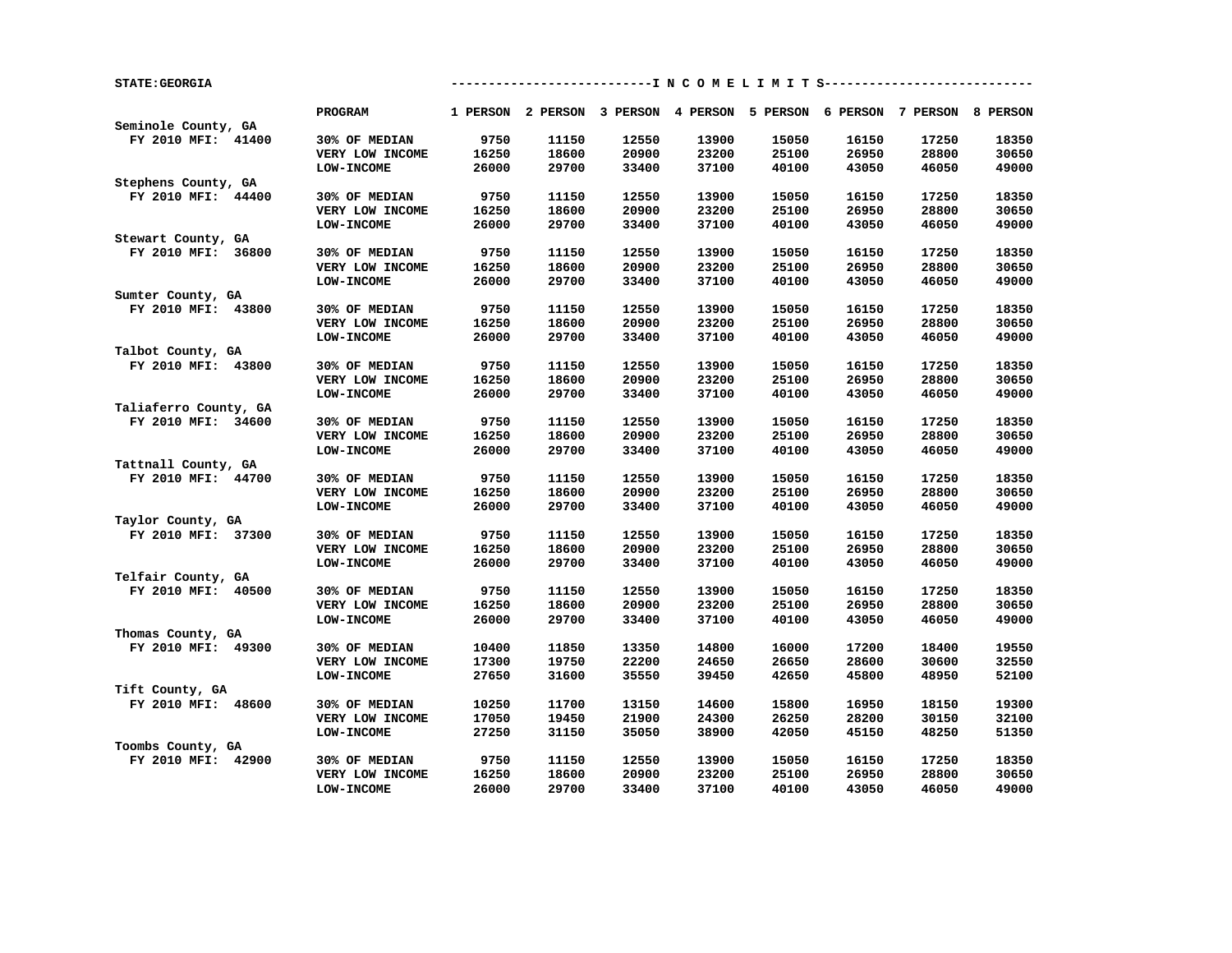| <b>STATE: GEORGIA</b> |                   |       |                                                                         |       |       | ----------I N C O M E L I M I T S------------ |       |       |       |
|-----------------------|-------------------|-------|-------------------------------------------------------------------------|-------|-------|-----------------------------------------------|-------|-------|-------|
| Seminole County, GA   | PROGRAM           |       | 1 PERSON 2 PERSON 3 PERSON 4 PERSON 5 PERSON 6 PERSON 7 PERSON 8 PERSON |       |       |                                               |       |       |       |
|                       |                   | 9750  |                                                                         |       |       |                                               |       |       |       |
| FY 2010 MFI: 41400    | 30% OF MEDIAN     |       | 11150                                                                   | 12550 | 13900 | 15050                                         | 16150 | 17250 | 18350 |
|                       | VERY LOW INCOME   | 16250 | 18600                                                                   | 20900 | 23200 | 25100                                         | 26950 | 28800 | 30650 |
|                       | LOW-INCOME        | 26000 | 29700                                                                   | 33400 | 37100 | 40100                                         | 43050 | 46050 | 49000 |
| Stephens County, GA   |                   |       |                                                                         |       |       |                                               |       |       |       |
| FY 2010 MFI: 44400    | 30% OF MEDIAN     | 9750  | 11150                                                                   | 12550 | 13900 | 15050                                         | 16150 | 17250 | 18350 |
|                       | VERY LOW INCOME   | 16250 | 18600                                                                   | 20900 | 23200 | 25100                                         | 26950 | 28800 | 30650 |
|                       | <b>LOW-INCOME</b> | 26000 | 29700                                                                   | 33400 | 37100 | 40100                                         | 43050 | 46050 | 49000 |
| Stewart County, GA    |                   |       |                                                                         |       |       |                                               |       |       |       |
| FY 2010 MFI: 36800    | 30% OF MEDIAN     | 9750  | 11150                                                                   | 12550 | 13900 | 15050                                         | 16150 | 17250 | 18350 |
|                       | VERY LOW INCOME   | 16250 | 18600                                                                   | 20900 | 23200 | 25100                                         | 26950 | 28800 | 30650 |
|                       | <b>LOW-INCOME</b> | 26000 | 29700                                                                   | 33400 | 37100 | 40100                                         | 43050 | 46050 | 49000 |
| Sumter County, GA     |                   |       |                                                                         |       |       |                                               |       |       |       |
| FY 2010 MFI: 43800    | 30% OF MEDIAN     | 9750  | 11150                                                                   | 12550 | 13900 | 15050                                         | 16150 | 17250 | 18350 |
|                       | VERY LOW INCOME   | 16250 | 18600                                                                   | 20900 | 23200 | 25100                                         | 26950 | 28800 | 30650 |
|                       | LOW-INCOME        | 26000 | 29700                                                                   | 33400 | 37100 | 40100                                         | 43050 | 46050 | 49000 |
| Talbot County, GA     |                   |       |                                                                         |       |       |                                               |       |       |       |
| FY 2010 MFI: 43800    | 30% OF MEDIAN     | 9750  | 11150                                                                   | 12550 | 13900 | 15050                                         | 16150 | 17250 | 18350 |
|                       | VERY LOW INCOME   | 16250 | 18600                                                                   | 20900 | 23200 | 25100                                         | 26950 | 28800 | 30650 |
|                       | <b>LOW-INCOME</b> | 26000 | 29700                                                                   | 33400 | 37100 | 40100                                         | 43050 | 46050 | 49000 |
| Taliaferro County, GA |                   |       |                                                                         |       |       |                                               |       |       |       |
| FY 2010 MFI: 34600    | 30% OF MEDIAN     | 9750  | 11150                                                                   | 12550 | 13900 | 15050                                         | 16150 | 17250 | 18350 |
|                       | VERY LOW INCOME   | 16250 | 18600                                                                   | 20900 | 23200 | 25100                                         | 26950 | 28800 | 30650 |
|                       | <b>LOW-INCOME</b> | 26000 | 29700                                                                   | 33400 | 37100 | 40100                                         | 43050 | 46050 | 49000 |
| Tattnall County, GA   |                   |       |                                                                         |       |       |                                               |       |       |       |
| FY 2010 MFI: 44700    | 30% OF MEDIAN     | 9750  | 11150                                                                   | 12550 | 13900 | 15050                                         | 16150 | 17250 | 18350 |
|                       | VERY LOW INCOME   | 16250 | 18600                                                                   | 20900 | 23200 | 25100                                         | 26950 | 28800 | 30650 |
|                       | <b>LOW-INCOME</b> | 26000 | 29700                                                                   | 33400 | 37100 | 40100                                         | 43050 | 46050 | 49000 |
| Taylor County, GA     |                   |       |                                                                         |       |       |                                               |       |       |       |
| FY 2010 MFI: 37300    | 30% OF MEDIAN     | 9750  | 11150                                                                   | 12550 | 13900 | 15050                                         | 16150 | 17250 | 18350 |
|                       | VERY LOW INCOME   | 16250 | 18600                                                                   | 20900 | 23200 | 25100                                         | 26950 | 28800 | 30650 |
|                       |                   |       |                                                                         |       |       |                                               |       |       |       |
| Telfair County, GA    | <b>LOW-INCOME</b> | 26000 | 29700                                                                   | 33400 | 37100 | 40100                                         | 43050 | 46050 | 49000 |
| FY 2010 MFI: 40500    |                   | 9750  | 11150                                                                   | 12550 | 13900 | 15050                                         | 16150 | 17250 | 18350 |
|                       | 30% OF MEDIAN     |       |                                                                         |       |       |                                               |       |       |       |
|                       | VERY LOW INCOME   | 16250 | 18600                                                                   | 20900 | 23200 | 25100                                         | 26950 | 28800 | 30650 |
|                       | <b>LOW-INCOME</b> | 26000 | 29700                                                                   | 33400 | 37100 | 40100                                         | 43050 | 46050 | 49000 |
| Thomas County, GA     |                   |       |                                                                         |       |       |                                               |       |       |       |
| FY 2010 MFI: 49300    | 30% OF MEDIAN     | 10400 | 11850                                                                   | 13350 | 14800 | 16000                                         | 17200 | 18400 | 19550 |
|                       | VERY LOW INCOME   | 17300 | 19750                                                                   | 22200 | 24650 | 26650                                         | 28600 | 30600 | 32550 |
|                       | <b>LOW-INCOME</b> | 27650 | 31600                                                                   | 35550 | 39450 | 42650                                         | 45800 | 48950 | 52100 |
| Tift County, GA       |                   |       |                                                                         |       |       |                                               |       |       |       |
| FY 2010 MFI: 48600    | 30% OF MEDIAN     | 10250 | 11700                                                                   | 13150 | 14600 | 15800                                         | 16950 | 18150 | 19300 |
|                       | VERY LOW INCOME   | 17050 | 19450                                                                   | 21900 | 24300 | 26250                                         | 28200 | 30150 | 32100 |
|                       | <b>LOW-INCOME</b> | 27250 | 31150                                                                   | 35050 | 38900 | 42050                                         | 45150 | 48250 | 51350 |
| Toombs County, GA     |                   |       |                                                                         |       |       |                                               |       |       |       |
| FY 2010 MFI: 42900    | 30% OF MEDIAN     | 9750  | 11150                                                                   | 12550 | 13900 | 15050                                         | 16150 | 17250 | 18350 |
|                       | VERY LOW INCOME   | 16250 | 18600                                                                   | 20900 | 23200 | 25100                                         | 26950 | 28800 | 30650 |
|                       | <b>LOW-INCOME</b> | 26000 | 29700                                                                   | 33400 | 37100 | 40100                                         | 43050 | 46050 | 49000 |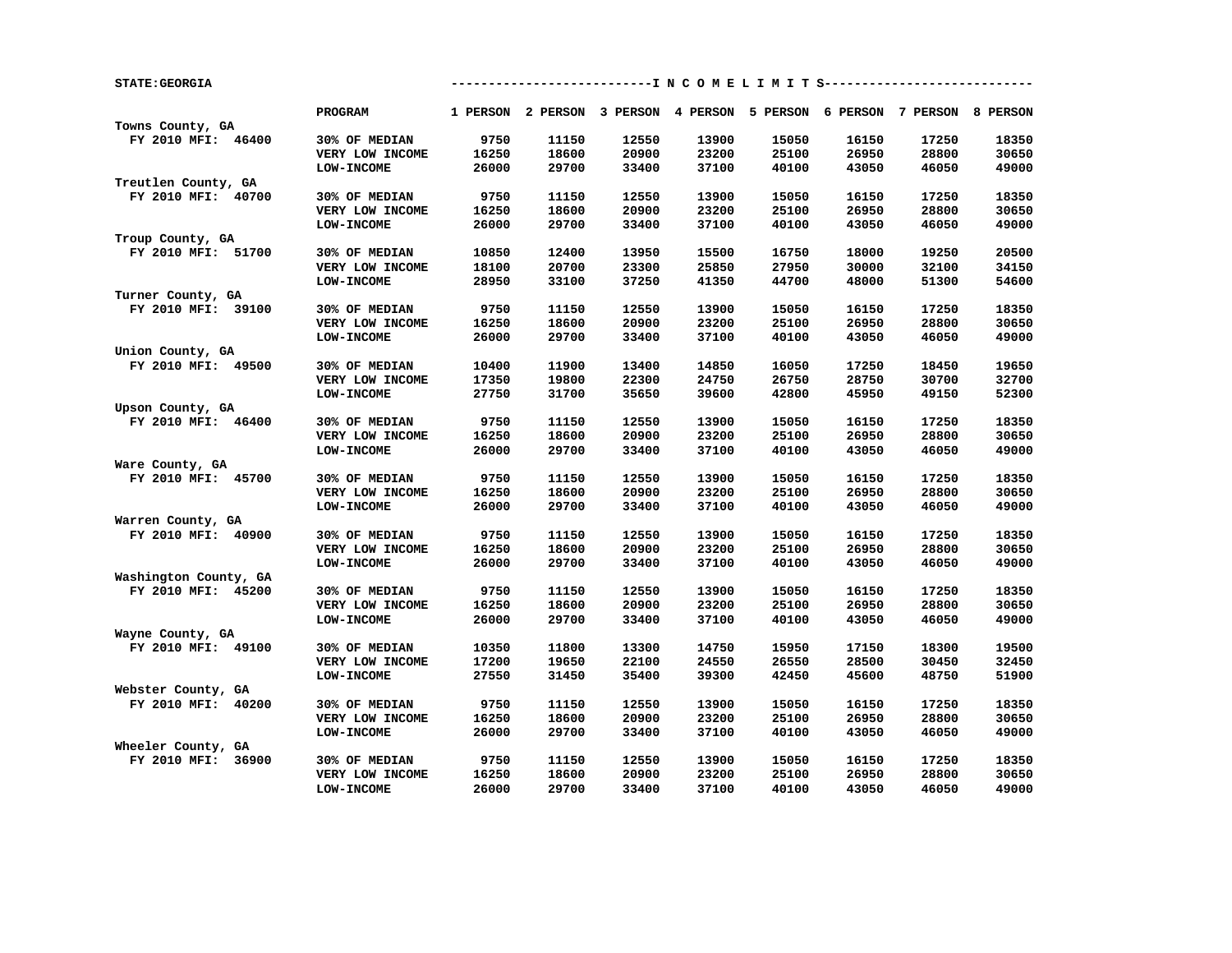| <b>STATE: GEORGIA</b> |                   |       | ---------------------------I N C O M E L I M I T S--------------------------- |       |       |       |                                                                         |       |       |
|-----------------------|-------------------|-------|-------------------------------------------------------------------------------|-------|-------|-------|-------------------------------------------------------------------------|-------|-------|
| Towns County, GA      | PROGRAM           |       |                                                                               |       |       |       | 1 PERSON 2 PERSON 3 PERSON 4 PERSON 5 PERSON 6 PERSON 7 PERSON 8 PERSON |       |       |
| FY 2010 MFI: 46400    | 30% OF MEDIAN     | 9750  | 11150                                                                         | 12550 | 13900 | 15050 | 16150                                                                   | 17250 | 18350 |
|                       | VERY LOW INCOME   | 16250 | 18600                                                                         | 20900 | 23200 | 25100 | 26950                                                                   | 28800 | 30650 |
|                       |                   |       |                                                                               |       |       |       |                                                                         |       | 49000 |
|                       | <b>LOW-INCOME</b> | 26000 | 29700                                                                         | 33400 | 37100 | 40100 | 43050                                                                   | 46050 |       |
| Treutlen County, GA   |                   |       |                                                                               |       |       |       |                                                                         |       |       |
| FY 2010 MFI: 40700    | 30% OF MEDIAN     | 9750  | 11150                                                                         | 12550 | 13900 | 15050 | 16150                                                                   | 17250 | 18350 |
|                       | VERY LOW INCOME   | 16250 | 18600                                                                         | 20900 | 23200 | 25100 | 26950                                                                   | 28800 | 30650 |
|                       | <b>LOW-INCOME</b> | 26000 | 29700                                                                         | 33400 | 37100 | 40100 | 43050                                                                   | 46050 | 49000 |
| Troup County, GA      |                   |       |                                                                               |       |       |       |                                                                         |       |       |
| FY 2010 MFI: 51700    | 30% OF MEDIAN     | 10850 | 12400                                                                         | 13950 | 15500 | 16750 | 18000                                                                   | 19250 | 20500 |
|                       | VERY LOW INCOME   | 18100 | 20700                                                                         | 23300 | 25850 | 27950 | 30000                                                                   | 32100 | 34150 |
|                       | LOW-INCOME        | 28950 | 33100                                                                         | 37250 | 41350 | 44700 | 48000                                                                   | 51300 | 54600 |
| Turner County, GA     |                   |       |                                                                               |       |       |       |                                                                         |       |       |
| FY 2010 MFI: 39100    | 30% OF MEDIAN     | 9750  | 11150                                                                         | 12550 | 13900 | 15050 | 16150                                                                   | 17250 | 18350 |
|                       | VERY LOW INCOME   | 16250 | 18600                                                                         | 20900 | 23200 | 25100 | 26950                                                                   | 28800 | 30650 |
|                       | <b>LOW-INCOME</b> | 26000 | 29700                                                                         | 33400 | 37100 | 40100 | 43050                                                                   | 46050 | 49000 |
| Union County, GA      |                   |       |                                                                               |       |       |       |                                                                         |       |       |
| FY 2010 MFI: 49500    | 30% OF MEDIAN     | 10400 | 11900                                                                         | 13400 | 14850 | 16050 | 17250                                                                   | 18450 | 19650 |
|                       | VERY LOW INCOME   | 17350 | 19800                                                                         | 22300 | 24750 | 26750 | 28750                                                                   | 30700 | 32700 |
|                       | <b>LOW-INCOME</b> | 27750 | 31700                                                                         | 35650 | 39600 | 42800 | 45950                                                                   | 49150 | 52300 |
| Upson County, GA      |                   |       |                                                                               |       |       |       |                                                                         |       |       |
| FY 2010 MFI: 46400    | 30% OF MEDIAN     | 9750  | 11150                                                                         | 12550 | 13900 | 15050 | 16150                                                                   | 17250 | 18350 |
|                       | VERY LOW INCOME   | 16250 | 18600                                                                         | 20900 | 23200 | 25100 | 26950                                                                   | 28800 | 30650 |
|                       | <b>LOW-INCOME</b> | 26000 | 29700                                                                         | 33400 | 37100 | 40100 | 43050                                                                   | 46050 | 49000 |
| Ware County, GA       |                   |       |                                                                               |       |       |       |                                                                         |       |       |
| FY 2010 MFI: 45700    | 30% OF MEDIAN     | 9750  | 11150                                                                         | 12550 | 13900 | 15050 | 16150                                                                   | 17250 | 18350 |
|                       | VERY LOW INCOME   | 16250 | 18600                                                                         | 20900 | 23200 | 25100 | 26950                                                                   | 28800 | 30650 |
|                       | LOW-INCOME        | 26000 | 29700                                                                         | 33400 | 37100 | 40100 | 43050                                                                   | 46050 | 49000 |
| Warren County, GA     |                   |       |                                                                               |       |       |       |                                                                         |       |       |
| FY 2010 MFI: 40900    | 30% OF MEDIAN     | 9750  | 11150                                                                         | 12550 | 13900 | 15050 | 16150                                                                   | 17250 | 18350 |
|                       | VERY LOW INCOME   | 16250 | 18600                                                                         | 20900 | 23200 | 25100 | 26950                                                                   | 28800 | 30650 |
|                       | <b>LOW-INCOME</b> | 26000 | 29700                                                                         | 33400 | 37100 | 40100 | 43050                                                                   | 46050 | 49000 |
| Washington County, GA |                   |       |                                                                               |       |       |       |                                                                         |       |       |
| FY 2010 MFI: 45200    | 30% OF MEDIAN     | 9750  | 11150                                                                         | 12550 | 13900 | 15050 | 16150                                                                   | 17250 | 18350 |
|                       | VERY LOW INCOME   | 16250 | 18600                                                                         | 20900 | 23200 | 25100 | 26950                                                                   | 28800 | 30650 |
|                       | <b>LOW-INCOME</b> | 26000 | 29700                                                                         | 33400 | 37100 | 40100 | 43050                                                                   | 46050 | 49000 |
| Wayne County, GA      |                   |       |                                                                               |       |       |       |                                                                         |       |       |
| FY 2010 MFI: 49100    | 30% OF MEDIAN     | 10350 | 11800                                                                         | 13300 | 14750 | 15950 | 17150                                                                   | 18300 | 19500 |
|                       | VERY LOW INCOME   | 17200 | 19650                                                                         | 22100 | 24550 | 26550 | 28500                                                                   | 30450 | 32450 |
|                       | <b>LOW-INCOME</b> | 27550 | 31450                                                                         | 35400 | 39300 | 42450 | 45600                                                                   | 48750 | 51900 |
| Webster County, GA    |                   |       |                                                                               |       |       |       |                                                                         |       |       |
| FY 2010 MFI: 40200    | 30% OF MEDIAN     | 9750  | 11150                                                                         | 12550 | 13900 | 15050 | 16150                                                                   | 17250 | 18350 |
|                       | VERY LOW INCOME   | 16250 | 18600                                                                         | 20900 | 23200 | 25100 | 26950                                                                   | 28800 | 30650 |
|                       | <b>LOW-INCOME</b> | 26000 | 29700                                                                         | 33400 | 37100 | 40100 | 43050                                                                   | 46050 | 49000 |
| Wheeler County, GA    |                   |       |                                                                               |       |       |       |                                                                         |       |       |
| FY 2010 MFI: 36900    | 30% OF MEDIAN     | 9750  | 11150                                                                         | 12550 | 13900 | 15050 | 16150                                                                   | 17250 | 18350 |
|                       | VERY LOW INCOME   | 16250 | 18600                                                                         | 20900 | 23200 | 25100 | 26950                                                                   | 28800 | 30650 |
|                       | LOW-INCOME        | 26000 | 29700                                                                         | 33400 | 37100 | 40100 | 43050                                                                   | 46050 | 49000 |
|                       |                   |       |                                                                               |       |       |       |                                                                         |       |       |